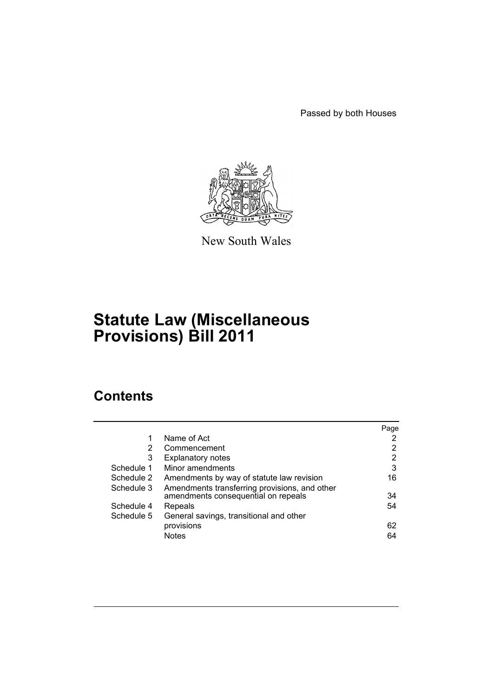Passed by both Houses



New South Wales

# **Statute Law (Miscellaneous Provisions) Bill 2011**

# **Contents**

|            |                                               | Page |
|------------|-----------------------------------------------|------|
|            | Name of Act                                   | 2    |
| 2          | Commencement                                  | 2    |
| 3          | <b>Explanatory notes</b>                      | 2    |
| Schedule 1 | Minor amendments                              | 3    |
| Schedule 2 | Amendments by way of statute law revision     | 16   |
| Schedule 3 | Amendments transferring provisions, and other |      |
|            | amendments consequential on repeals           | 34   |
| Schedule 4 | Repeals                                       | 54   |
| Schedule 5 | General savings, transitional and other       |      |
|            | provisions                                    | 62   |
|            | <b>Notes</b>                                  | 64   |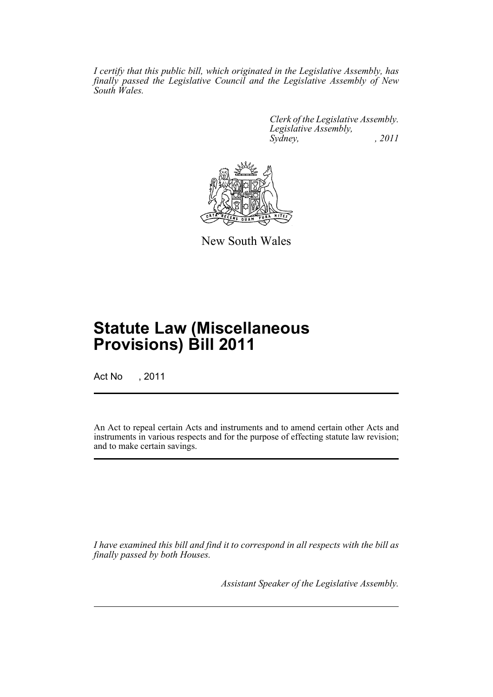*I certify that this public bill, which originated in the Legislative Assembly, has finally passed the Legislative Council and the Legislative Assembly of New South Wales.*

> *Clerk of the Legislative Assembly. Legislative Assembly, Sydney, , 2011*



New South Wales

# **Statute Law (Miscellaneous Provisions) Bill 2011**

Act No , 2011

An Act to repeal certain Acts and instruments and to amend certain other Acts and instruments in various respects and for the purpose of effecting statute law revision; and to make certain savings.

*I have examined this bill and find it to correspond in all respects with the bill as finally passed by both Houses.*

*Assistant Speaker of the Legislative Assembly.*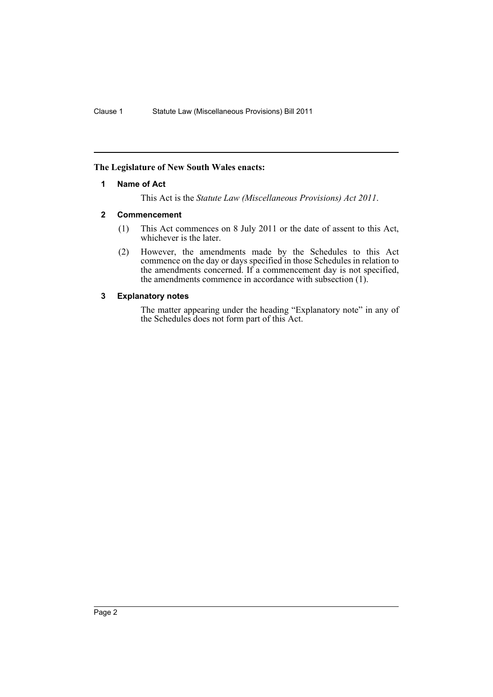### <span id="page-3-0"></span>**The Legislature of New South Wales enacts:**

### **1 Name of Act**

This Act is the *Statute Law (Miscellaneous Provisions) Act 2011*.

### <span id="page-3-1"></span>**2 Commencement**

- (1) This Act commences on 8 July 2011 or the date of assent to this Act, whichever is the later.
- (2) However, the amendments made by the Schedules to this Act commence on the day or days specified in those Schedules in relation to the amendments concerned. If a commencement day is not specified, the amendments commence in accordance with subsection (1).

### <span id="page-3-2"></span>**3 Explanatory notes**

The matter appearing under the heading "Explanatory note" in any of the Schedules does not form part of this Act.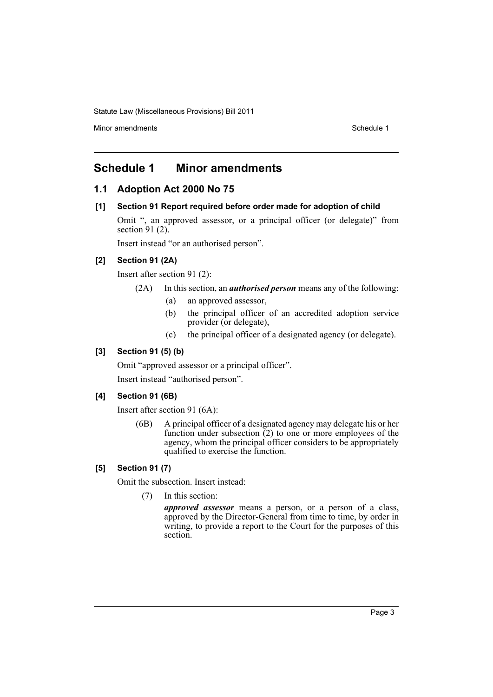Minor amendments **Schedule 1** and the state of the state of the Schedule 1

# <span id="page-4-0"></span>**Schedule 1 Minor amendments**

# **1.1 Adoption Act 2000 No 75**

### **[1] Section 91 Report required before order made for adoption of child**

Omit ", an approved assessor, or a principal officer (or delegate)" from section 91 (2).

Insert instead "or an authorised person".

# **[2] Section 91 (2A)**

Insert after section 91 (2):

(2A) In this section, an *authorised person* means any of the following:

- (a) an approved assessor,
- (b) the principal officer of an accredited adoption service provider (or delegate),
- (c) the principal officer of a designated agency (or delegate).

### **[3] Section 91 (5) (b)**

Omit "approved assessor or a principal officer".

Insert instead "authorised person".

# **[4] Section 91 (6B)**

Insert after section 91 (6A):

(6B) A principal officer of a designated agency may delegate his or her function under subsection  $\tilde{c}$  to one or more employees of the agency, whom the principal officer considers to be appropriately qualified to exercise the function.

### **[5] Section 91 (7)**

Omit the subsection. Insert instead:

(7) In this section:

*approved assessor* means a person, or a person of a class, approved by the Director-General from time to time, by order in writing, to provide a report to the Court for the purposes of this section.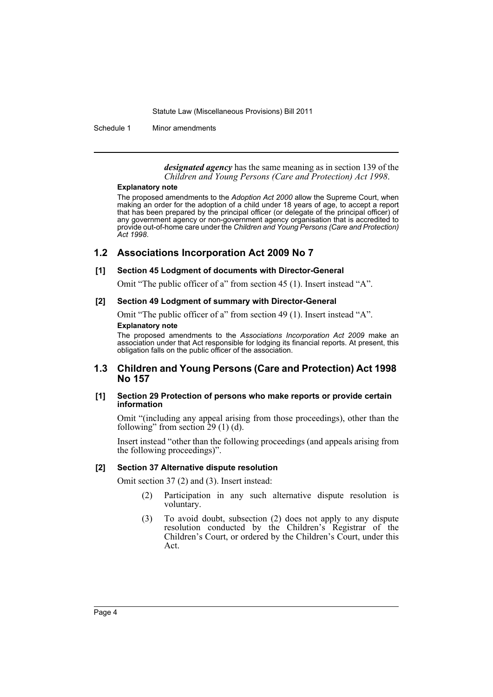Schedule 1 Minor amendments

*designated agency* has the same meaning as in section 139 of the *Children and Young Persons (Care and Protection) Act 1998*.

#### **Explanatory note**

The proposed amendments to the *Adoption Act 2000* allow the Supreme Court, when making an order for the adoption of a child under 18 years of age, to accept a report that has been prepared by the principal officer (or delegate of the principal officer) of any government agency or non-government agency organisation that is accredited to provide out-of-home care under the *Children and Young Persons (Care and Protection) Act 1998*.

# **1.2 Associations Incorporation Act 2009 No 7**

### **[1] Section 45 Lodgment of documents with Director-General**

Omit "The public officer of a" from section 45 (1). Insert instead "A".

### **[2] Section 49 Lodgment of summary with Director-General**

Omit "The public officer of a" from section 49 (1). Insert instead "A". **Explanatory note**

The proposed amendments to the *Associations Incorporation Act 2009* make an association under that Act responsible for lodging its financial reports. At present, this obligation falls on the public officer of the association.

# **1.3 Children and Young Persons (Care and Protection) Act 1998 No 157**

### **[1] Section 29 Protection of persons who make reports or provide certain information**

Omit "(including any appeal arising from those proceedings), other than the following" from section  $29(1)(d)$ .

Insert instead "other than the following proceedings (and appeals arising from the following proceedings)".

### **[2] Section 37 Alternative dispute resolution**

Omit section 37 (2) and (3). Insert instead:

- (2) Participation in any such alternative dispute resolution is voluntary.
- (3) To avoid doubt, subsection (2) does not apply to any dispute resolution conducted by the Children's Registrar of the Children's Court, or ordered by the Children's Court, under this Act.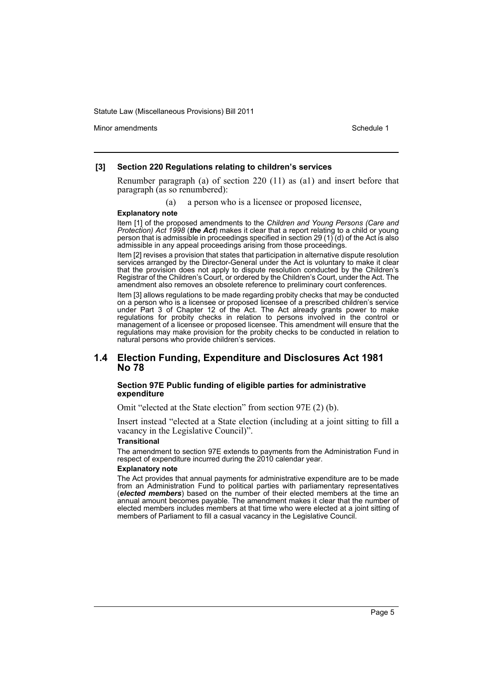Minor amendments **Schedule 1** and the state of the state 1 and the state of the Schedule 1

#### **[3] Section 220 Regulations relating to children's services**

Renumber paragraph (a) of section 220 (11) as (a1) and insert before that paragraph (as so renumbered):

(a) a person who is a licensee or proposed licensee,

#### **Explanatory note**

Item [1] of the proposed amendments to the *Children and Young Persons (Care and Protection) Act 1998* (*the Act*) makes it clear that a report relating to a child or young person that is admissible in proceedings specified in section 29 (1) (d) of the Act is also admissible in any appeal proceedings arising from those proceedings.

Item [2] revises a provision that states that participation in alternative dispute resolution services arranged by the Director-General under the Act is voluntary to make it clear that the provision does not apply to dispute resolution conducted by the Children's Registrar of the Children's Court, or ordered by the Children's Court, under the Act. The amendment also removes an obsolete reference to preliminary court conferences.

Item [3] allows regulations to be made regarding probity checks that may be conducted on a person who is a licensee or proposed licensee of a prescribed children's service under Part 3 of Chapter 12 of the Act. The Act already grants power to make regulations for probity checks in relation to persons involved in the control or management of a licensee or proposed licensee. This amendment will ensure that the regulations may make provision for the probity checks to be conducted in relation to natural persons who provide children's services.

### **1.4 Election Funding, Expenditure and Disclosures Act 1981 No 78**

#### **Section 97E Public funding of eligible parties for administrative expenditure**

Omit "elected at the State election" from section 97E (2) (b).

Insert instead "elected at a State election (including at a joint sitting to fill a vacancy in the Legislative Council)".

#### **Transitional**

The amendment to section 97E extends to payments from the Administration Fund in respect of expenditure incurred during the 2010 calendar year.

#### **Explanatory note**

The Act provides that annual payments for administrative expenditure are to be made from an Administration Fund to political parties with parliamentary representatives (*elected members*) based on the number of their elected members at the time an annual amount becomes payable. The amendment makes it clear that the number of elected members includes members at that time who were elected at a joint sitting of members of Parliament to fill a casual vacancy in the Legislative Council.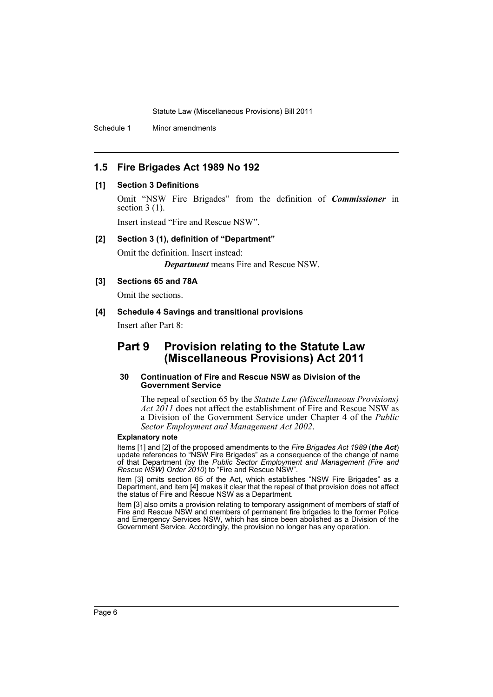Schedule 1 Minor amendments

# **1.5 Fire Brigades Act 1989 No 192**

### **[1] Section 3 Definitions**

Omit "NSW Fire Brigades" from the definition of *Commissioner* in section  $3(1)$ .

Insert instead "Fire and Rescue NSW".

#### **[2] Section 3 (1), definition of "Department"**

Omit the definition. Insert instead: *Department* means Fire and Rescue NSW.

### **[3] Sections 65 and 78A**

Omit the sections.

### **[4] Schedule 4 Savings and transitional provisions**

Insert after Part 8:

# **Part 9 Provision relating to the Statute Law (Miscellaneous Provisions) Act 2011**

### **30 Continuation of Fire and Rescue NSW as Division of the Government Service**

The repeal of section 65 by the *Statute Law (Miscellaneous Provisions) Act 2011* does not affect the establishment of Fire and Rescue NSW as a Division of the Government Service under Chapter 4 of the *Public Sector Employment and Management Act 2002*.

#### **Explanatory note**

Items [1] and [2] of the proposed amendments to the *Fire Brigades Act 1989* (*the Act*) update references to "NSW Fire Brigades" as a consequence of the change of name of that Department (by the *Public Sector Employment and Management (Fire and Rescue NSW) Order 2010*) to "Fire and Rescue NSW".

Item [3] omits section 65 of the Act, which establishes "NSW Fire Brigades" as a Department, and item [4] makes it clear that the repeal of that provision does not affect the status of Fire and Rescue NSW as a Department.

Item [3] also omits a provision relating to temporary assignment of members of staff of Fire and Rescue NSW and members of permanent fire brigades to the former Police and Emergency Services NSW, which has since been abolished as a Division of the Government Service. Accordingly, the provision no longer has any operation.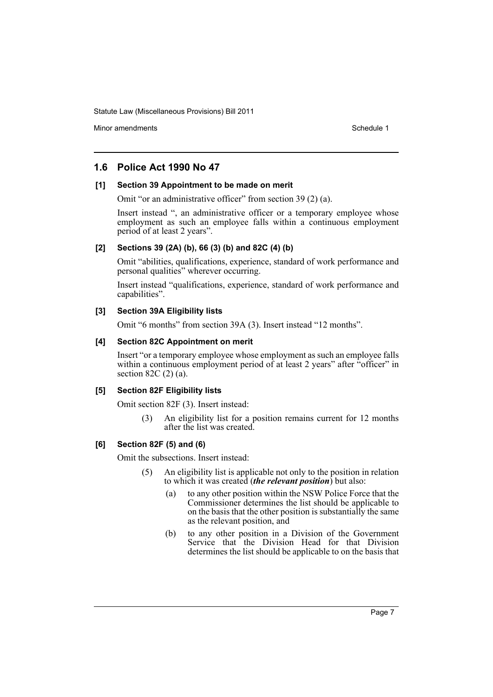Minor amendments **Schedule 1** and the state of the state 1 and the state of the Schedule 1

# **1.6 Police Act 1990 No 47**

### **[1] Section 39 Appointment to be made on merit**

Omit "or an administrative officer" from section 39 (2) (a).

Insert instead ", an administrative officer or a temporary employee whose employment as such an employee falls within a continuous employment period of at least 2 years".

### **[2] Sections 39 (2A) (b), 66 (3) (b) and 82C (4) (b)**

Omit "abilities, qualifications, experience, standard of work performance and personal qualities" wherever occurring.

Insert instead "qualifications, experience, standard of work performance and capabilities".

### **[3] Section 39A Eligibility lists**

Omit "6 months" from section 39A (3). Insert instead "12 months".

### **[4] Section 82C Appointment on merit**

Insert "or a temporary employee whose employment as such an employee falls within a continuous employment period of at least 2 years" after "officer" in section 82C (2) (a).

### **[5] Section 82F Eligibility lists**

Omit section 82F (3). Insert instead:

(3) An eligibility list for a position remains current for 12 months after the list was created.

### **[6] Section 82F (5) and (6)**

Omit the subsections. Insert instead:

- (5) An eligibility list is applicable not only to the position in relation to which it was created (*the relevant position*) but also:
	- (a) to any other position within the NSW Police Force that the Commissioner determines the list should be applicable to on the basis that the other position is substantially the same as the relevant position, and
	- (b) to any other position in a Division of the Government Service that the Division Head for that Division determines the list should be applicable to on the basis that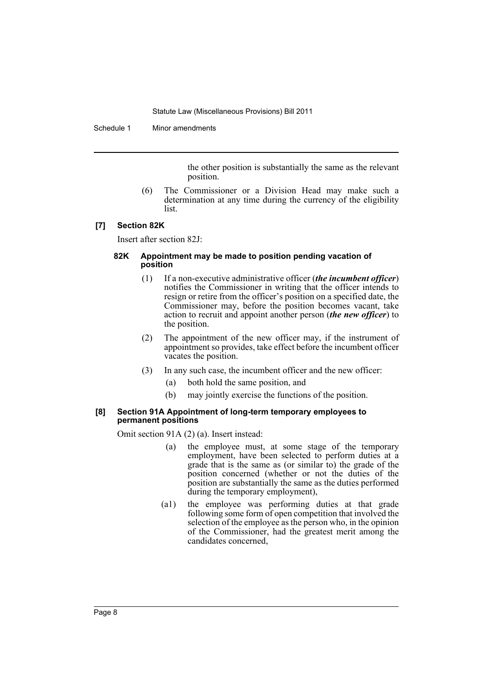#### Schedule 1 Minor amendments

the other position is substantially the same as the relevant position.

(6) The Commissioner or a Division Head may make such a determination at any time during the currency of the eligibility list.

#### **[7] Section 82K**

Insert after section 82J:

#### **82K Appointment may be made to position pending vacation of position**

- (1) If a non-executive administrative officer (*the incumbent officer*) notifies the Commissioner in writing that the officer intends to resign or retire from the officer's position on a specified date, the Commissioner may, before the position becomes vacant, take action to recruit and appoint another person (*the new officer*) to the position.
- (2) The appointment of the new officer may, if the instrument of appointment so provides, take effect before the incumbent officer vacates the position.
- (3) In any such case, the incumbent officer and the new officer:
	- (a) both hold the same position, and
	- (b) may jointly exercise the functions of the position.

### **[8] Section 91A Appointment of long-term temporary employees to permanent positions**

Omit section 91A (2) (a). Insert instead:

- (a) the employee must, at some stage of the temporary employment, have been selected to perform duties at a grade that is the same as (or similar to) the grade of the position concerned (whether or not the duties of the position are substantially the same as the duties performed during the temporary employment),
- (a1) the employee was performing duties at that grade following some form of open competition that involved the selection of the employee as the person who, in the opinion of the Commissioner, had the greatest merit among the candidates concerned,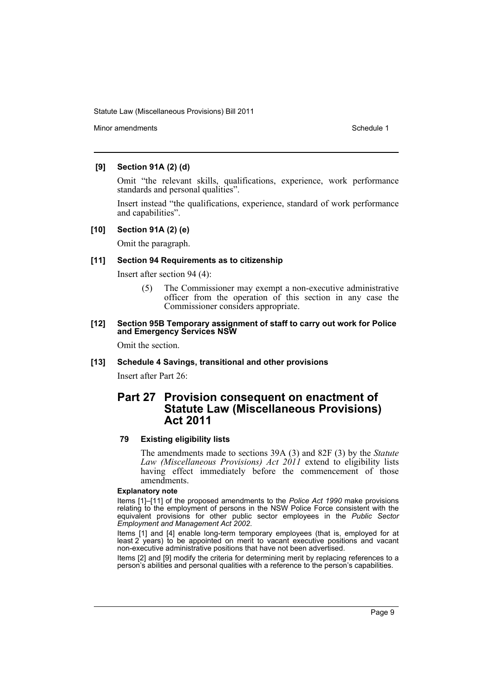Minor amendments **Schedule 1** and the state of the state 1 and the state of the Schedule 1

### **[9] Section 91A (2) (d)**

Omit "the relevant skills, qualifications, experience, work performance standards and personal qualities".

Insert instead "the qualifications, experience, standard of work performance and capabilities".

### **[10] Section 91A (2) (e)**

Omit the paragraph.

#### **[11] Section 94 Requirements as to citizenship**

Insert after section 94 (4):

(5) The Commissioner may exempt a non-executive administrative officer from the operation of this section in any case the Commissioner considers appropriate.

#### **[12] Section 95B Temporary assignment of staff to carry out work for Police and Emergency Services NSW**

Omit the section.

### **[13] Schedule 4 Savings, transitional and other provisions**

Insert after Part 26:

# **Part 27 Provision consequent on enactment of Statute Law (Miscellaneous Provisions) Act 2011**

### **79 Existing eligibility lists**

The amendments made to sections 39A (3) and 82F (3) by the *Statute Law (Miscellaneous Provisions) Act 2011* extend to eligibility lists having effect immediately before the commencement of those amendments.

#### **Explanatory note**

Items [1]–[11] of the proposed amendments to the *Police Act 1990* make provisions relating to the employment of persons in the NSW Police Force consistent with the equivalent provisions for other public sector employees in the *Public Sector Employment and Management Act 2002*.

Items [1] and [4] enable long-term temporary employees (that is, employed for at least 2 years) to be appointed on merit to vacant executive positions and vacant non-executive administrative positions that have not been advertised.

Items [2] and [9] modify the criteria for determining merit by replacing references to a person's abilities and personal qualities with a reference to the person's capabilities.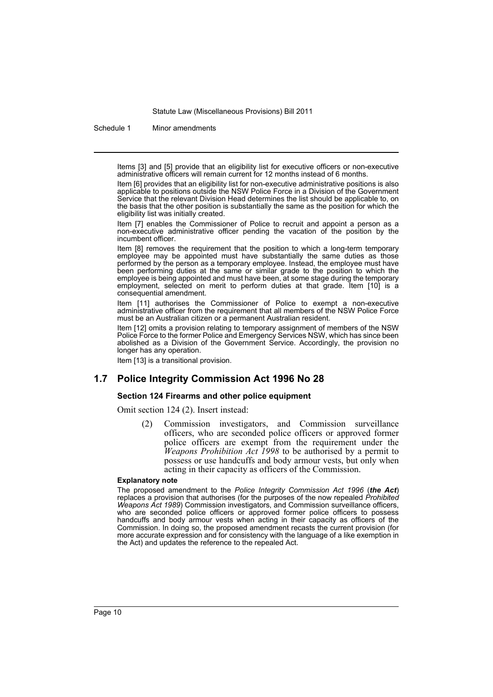Schedule 1 Minor amendments

Items [3] and [5] provide that an eligibility list for executive officers or non-executive administrative officers will remain current for 12 months instead of 6 months.

Item [6] provides that an eligibility list for non-executive administrative positions is also applicable to positions outside the NSW Police Force in a Division of the Government Service that the relevant Division Head determines the list should be applicable to, on the basis that the other position is substantially the same as the position for which the eligibility list was initially created.

Item [7] enables the Commissioner of Police to recruit and appoint a person as a non-executive administrative officer pending the vacation of the position by the incumbent officer.

Item [8] removes the requirement that the position to which a long-term temporary employee may be appointed must have substantially the same duties as those performed by the person as a temporary employee. Instead, the employee must have been performing duties at the same or similar grade to the position to which the employee is being appointed and must have been, at some stage during the temporary employment, selected on merit to perform duties at that grade. Item [10] is a consequential amendment.

Item [11] authorises the Commissioner of Police to exempt a non-executive administrative officer from the requirement that all members of the NSW Police Force must be an Australian citizen or a permanent Australian resident.

Item [12] omits a provision relating to temporary assignment of members of the NSW Police Force to the former Police and Emergency Services NSW, which has since been abolished as a Division of the Government Service. Accordingly, the provision no longer has any operation.

Item [13] is a transitional provision.

### **1.7 Police Integrity Commission Act 1996 No 28**

#### **Section 124 Firearms and other police equipment**

Omit section 124 (2). Insert instead:

(2) Commission investigators, and Commission surveillance officers, who are seconded police officers or approved former police officers are exempt from the requirement under the *Weapons Prohibition Act 1998* to be authorised by a permit to possess or use handcuffs and body armour vests, but only when acting in their capacity as officers of the Commission.

#### **Explanatory note**

The proposed amendment to the *Police Integrity Commission Act 1996* (*the Act*) replaces a provision that authorises (for the purposes of the now repealed *Prohibited Weapons Act 1989*) Commission investigators, and Commission surveillance officers, who are seconded police officers or approved former police officers to possess handcuffs and body armour vests when acting in their capacity as officers of the Commission. In doing so, the proposed amendment recasts the current provision (for more accurate expression and for consistency with the language of a like exemption in the Act) and updates the reference to the repealed Act.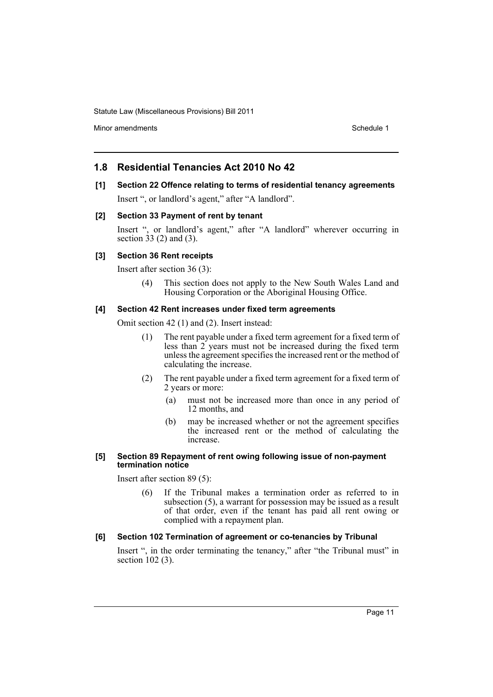Minor amendments **Schedule 1** and the state of the state of the Schedule 1

# **1.8 Residential Tenancies Act 2010 No 42**

# **[1] Section 22 Offence relating to terms of residential tenancy agreements**

Insert ", or landlord's agent," after "A landlord".

### **[2] Section 33 Payment of rent by tenant**

Insert ", or landlord's agent," after "A landlord" wherever occurring in section 33 (2) and (3).

### **[3] Section 36 Rent receipts**

Insert after section 36 (3):

(4) This section does not apply to the New South Wales Land and Housing Corporation or the Aboriginal Housing Office.

### **[4] Section 42 Rent increases under fixed term agreements**

Omit section 42 (1) and (2). Insert instead:

- (1) The rent payable under a fixed term agreement for a fixed term of less than 2 years must not be increased during the fixed term unless the agreement specifies the increased rent or the method of calculating the increase.
- (2) The rent payable under a fixed term agreement for a fixed term of 2 years or more:
	- (a) must not be increased more than once in any period of 12 months, and
	- (b) may be increased whether or not the agreement specifies the increased rent or the method of calculating the increase.

### **[5] Section 89 Repayment of rent owing following issue of non-payment termination notice**

Insert after section 89 (5):

(6) If the Tribunal makes a termination order as referred to in subsection (5), a warrant for possession may be issued as a result of that order, even if the tenant has paid all rent owing or complied with a repayment plan.

### **[6] Section 102 Termination of agreement or co-tenancies by Tribunal**

Insert ", in the order terminating the tenancy," after "the Tribunal must" in section 102 (3).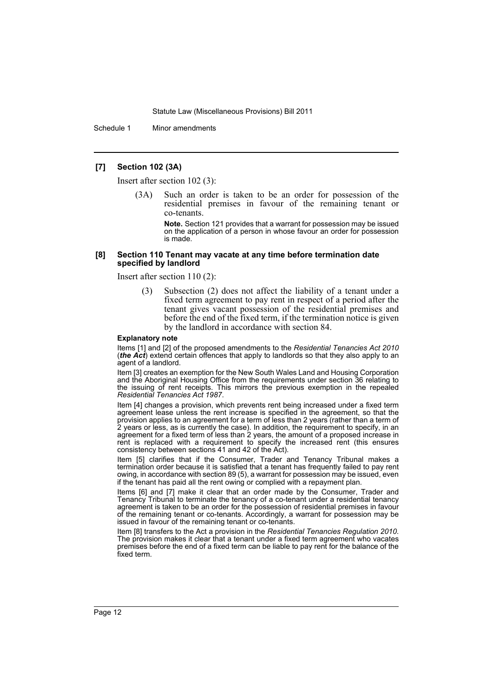Schedule 1 Minor amendments

### **[7] Section 102 (3A)**

Insert after section 102 (3):

Such an order is taken to be an order for possession of the residential premises in favour of the remaining tenant or co-tenants.

**Note.** Section 121 provides that a warrant for possession may be issued on the application of a person in whose favour an order for possession is made.

#### **[8] Section 110 Tenant may vacate at any time before termination date specified by landlord**

Insert after section 110 (2):

(3) Subsection (2) does not affect the liability of a tenant under a fixed term agreement to pay rent in respect of a period after the tenant gives vacant possession of the residential premises and before the end of the fixed term, if the termination notice is given by the landlord in accordance with section 84.

#### **Explanatory note**

Items [1] and [2] of the proposed amendments to the *Residential Tenancies Act 2010* (*the Act*) extend certain offences that apply to landlords so that they also apply to an agent of a landlord.

Item [3] creates an exemption for the New South Wales Land and Housing Corporation and the Aboriginal Housing Office from the requirements under section 36 relating to the issuing of rent receipts. This mirrors the previous exemption in the repealed *Residential Tenancies Act 1987*.

Item [4] changes a provision, which prevents rent being increased under a fixed term agreement lease unless the rent increase is specified in the agreement, so that the provision applies to an agreement for a term of less than 2 years (rather than a term of 2 years or less, as is currently the case). In addition, the requirement to specify, in an agreement for a fixed term of less than 2 years, the amount of a proposed increase in rent is replaced with a requirement to specify the increased rent (this ensures consistency between sections 41 and 42 of the Act).

Item [5] clarifies that if the Consumer, Trader and Tenancy Tribunal makes a termination order because it is satisfied that a tenant has frequently failed to pay rent owing, in accordance with section 89 (5), a warrant for possession may be issued, even if the tenant has paid all the rent owing or complied with a repayment plan.

Items [6] and [7] make it clear that an order made by the Consumer, Trader and Tenancy Tribunal to terminate the tenancy of a co-tenant under a residential tenancy agreement is taken to be an order for the possession of residential premises in favour of the remaining tenant or co-tenants. Accordingly, a warrant for possession may be issued in favour of the remaining tenant or co-tenants.

Item [8] transfers to the Act a provision in the *Residential Tenancies Regulation 2010*. The provision makes it clear that a tenant under a fixed term agreement who vacates premises before the end of a fixed term can be liable to pay rent for the balance of the fixed term.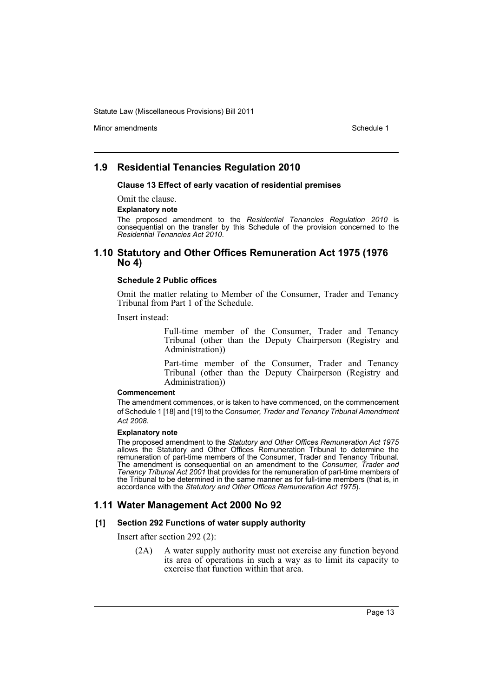Minor amendments **Schedule 1** and the state of the state 1 and the state of the Schedule 1

# **1.9 Residential Tenancies Regulation 2010**

**Clause 13 Effect of early vacation of residential premises**

Omit the clause.

#### **Explanatory note**

The proposed amendment to the *Residential Tenancies Regulation 2010* is consequential on the transfer by this Schedule of the provision concerned to the *Residential Tenancies Act 2010*.

### **1.10 Statutory and Other Offices Remuneration Act 1975 (1976 No 4)**

### **Schedule 2 Public offices**

Omit the matter relating to Member of the Consumer, Trader and Tenancy Tribunal from Part 1 of the Schedule.

Insert instead:

Full-time member of the Consumer, Trader and Tenancy Tribunal (other than the Deputy Chairperson (Registry and Administration))

Part-time member of the Consumer, Trader and Tenancy Tribunal (other than the Deputy Chairperson (Registry and Administration))

#### **Commencement**

The amendment commences, or is taken to have commenced, on the commencement of Schedule 1 [18] and [19] to the *Consumer, Trader and Tenancy Tribunal Amendment Act 2008*.

#### **Explanatory note**

The proposed amendment to the *Statutory and Other Offices Remuneration Act 1975* allows the Statutory and Other Offices Remuneration Tribunal to determine the remuneration of part-time members of the Consumer, Trader and Tenancy Tribunal. The amendment is consequential on an amendment to the *Consumer, Trader and Tenancy Tribunal Act 2001* that provides for the remuneration of part-time members of the Tribunal to be determined in the same manner as for full-time members (that is, in accordance with the *Statutory and Other Offices Remuneration Act 1975*).

# **1.11 Water Management Act 2000 No 92**

### **[1] Section 292 Functions of water supply authority**

Insert after section 292 (2):

(2A) A water supply authority must not exercise any function beyond its area of operations in such a way as to limit its capacity to exercise that function within that area.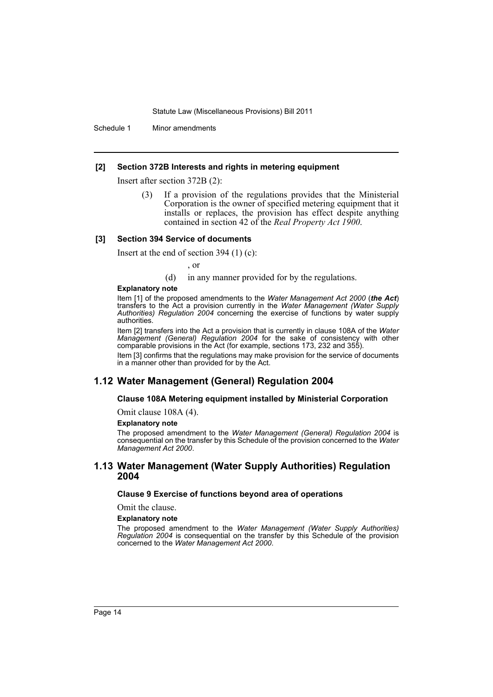Schedule 1 Minor amendments

#### **[2] Section 372B Interests and rights in metering equipment**

Insert after section 372B (2):

(3) If a provision of the regulations provides that the Ministerial Corporation is the owner of specified metering equipment that it installs or replaces, the provision has effect despite anything contained in section 42 of the *Real Property Act 1900*.

#### **[3] Section 394 Service of documents**

Insert at the end of section 394 (1) (c):

, or

(d) in any manner provided for by the regulations.

#### **Explanatory note**

Item [1] of the proposed amendments to the *Water Management Act 2000* (*the Act*) transfers to the Act a provision currently in the *Water Management (Water Supply Authorities) Regulation 2004* concerning the exercise of functions by water supply authorities.

Item [2] transfers into the Act a provision that is currently in clause 108A of the *Water Management (General) Regulation 2004* for the sake of consistency with other comparable provisions in the Act (for example, sections 173, 232 and 355).

Item [3] confirms that the regulations may make provision for the service of documents in a manner other than provided for by the Act.

### **1.12 Water Management (General) Regulation 2004**

#### **Clause 108A Metering equipment installed by Ministerial Corporation**

Omit clause 108A (4).

#### **Explanatory note**

The proposed amendment to the *Water Management (General) Regulation 2004* is consequential on the transfer by this Schedule of the provision concerned to the *Water Management Act 2000*.

### **1.13 Water Management (Water Supply Authorities) Regulation 2004**

### **Clause 9 Exercise of functions beyond area of operations**

Omit the clause.

**Explanatory note**

The proposed amendment to the *Water Management (Water Supply Authorities) Regulation 2004* is consequential on the transfer by this Schedule of the provision concerned to the *Water Management Act 2000*.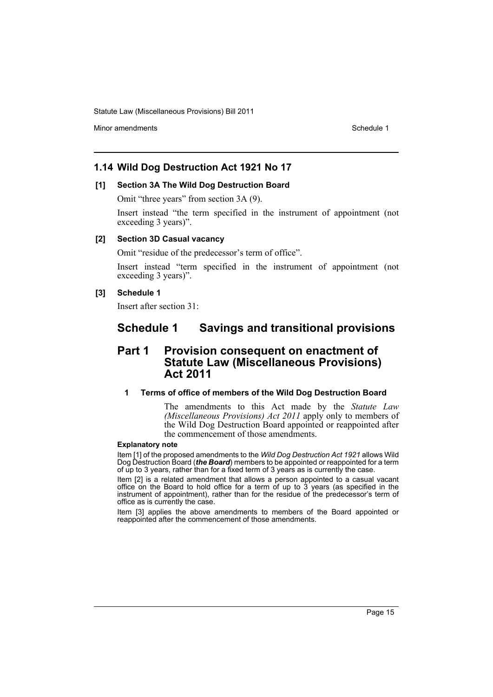Minor amendments **Schedule 1** and the state of the state 1 and the state of the Schedule 1

# **1.14 Wild Dog Destruction Act 1921 No 17**

### **[1] Section 3A The Wild Dog Destruction Board**

Omit "three years" from section 3A (9).

Insert instead "the term specified in the instrument of appointment (not exceeding 3 years)".

### **[2] Section 3D Casual vacancy**

Omit "residue of the predecessor's term of office".

Insert instead "term specified in the instrument of appointment (not exceeding 3 years)".

### **[3] Schedule 1**

Insert after section 31:

# **Schedule 1 Savings and transitional provisions**

# **Part 1 Provision consequent on enactment of Statute Law (Miscellaneous Provisions) Act 2011**

### **1 Terms of office of members of the Wild Dog Destruction Board**

The amendments to this Act made by the *Statute Law (Miscellaneous Provisions) Act 2011* apply only to members of the Wild Dog Destruction Board appointed or reappointed after the commencement of those amendments.

#### **Explanatory note**

Item [1] of the proposed amendments to the *Wild Dog Destruction Act 1921* allows Wild Dog Destruction Board (*the Board*) members to be appointed or reappointed for a term of up to 3 years, rather than for a fixed term of 3 years as is currently the case.

Item [2] is a related amendment that allows a person appointed to a casual vacant office on the Board to hold office for a term of up to 3 years (as specified in the instrument of appointment), rather than for the residue of the predecessor's term of office as is currently the case.

Item [3] applies the above amendments to members of the Board appointed or reappointed after the commencement of those amendments.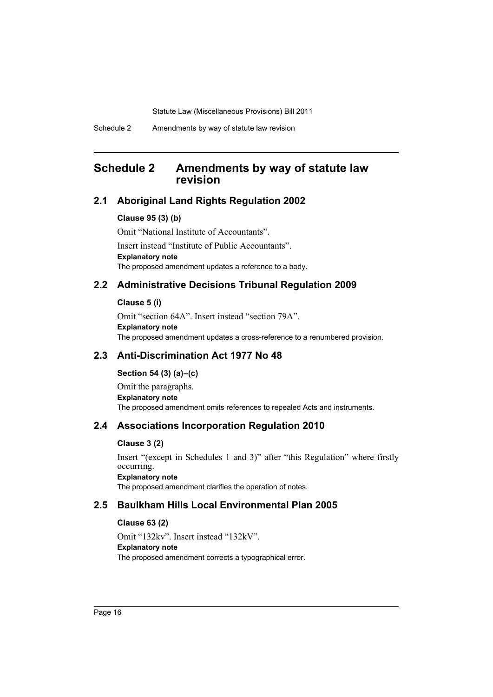# <span id="page-17-0"></span>**Schedule 2 Amendments by way of statute law revision**

# **2.1 Aboriginal Land Rights Regulation 2002**

### **Clause 95 (3) (b)**

Omit "National Institute of Accountants". Insert instead "Institute of Public Accountants". **Explanatory note** The proposed amendment updates a reference to a body.

# **2.2 Administrative Decisions Tribunal Regulation 2009**

### **Clause 5 (i)**

Omit "section 64A". Insert instead "section 79A". **Explanatory note** The proposed amendment updates a cross-reference to a renumbered provision.

# **2.3 Anti-Discrimination Act 1977 No 48**

### **Section 54 (3) (a)–(c)**

Omit the paragraphs. **Explanatory note** The proposed amendment omits references to repealed Acts and instruments.

### **2.4 Associations Incorporation Regulation 2010**

### **Clause 3 (2)**

Insert "(except in Schedules 1 and 3)" after "this Regulation" where firstly occurring. **Explanatory note** The proposed amendment clarifies the operation of notes.

# **2.5 Baulkham Hills Local Environmental Plan 2005**

### **Clause 63 (2)**

Omit "132kv". Insert instead "132kV". **Explanatory note** The proposed amendment corrects a typographical error.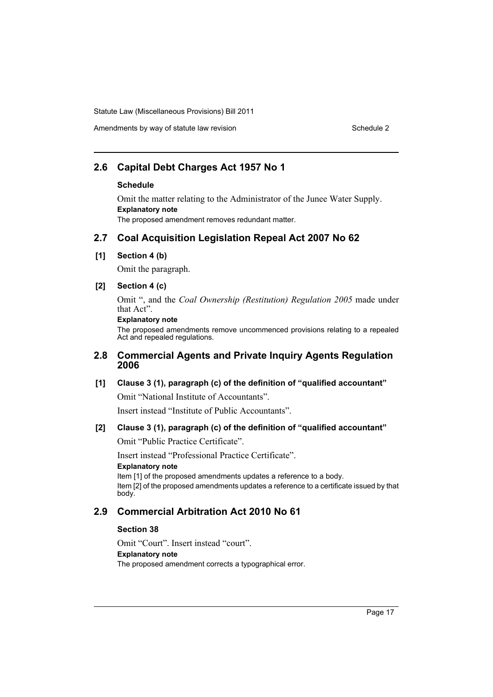# Amendments by way of statute law revision Schedule 2 Schedule 2

# **2.6 Capital Debt Charges Act 1957 No 1**

### **Schedule**

Omit the matter relating to the Administrator of the Junee Water Supply. **Explanatory note** The proposed amendment removes redundant matter.

# **2.7 Coal Acquisition Legislation Repeal Act 2007 No 62**

**[1] Section 4 (b)**

Omit the paragraph.

# **[2] Section 4 (c)**

Omit ", and the *Coal Ownership (Restitution) Regulation 2005* made under that Act".

### **Explanatory note**

The proposed amendments remove uncommenced provisions relating to a repealed Act and repealed regulations.

# **2.8 Commercial Agents and Private Inquiry Agents Regulation 2006**

### **[1] Clause 3 (1), paragraph (c) of the definition of "qualified accountant"**

Omit "National Institute of Accountants".

Insert instead "Institute of Public Accountants".

# **[2] Clause 3 (1), paragraph (c) of the definition of "qualified accountant"**

Omit "Public Practice Certificate".

Insert instead "Professional Practice Certificate".

### **Explanatory note**

Item [1] of the proposed amendments updates a reference to a body. Item [2] of the proposed amendments updates a reference to a certificate issued by that body.

# **2.9 Commercial Arbitration Act 2010 No 61**

### **Section 38**

Omit "Court". Insert instead "court". **Explanatory note** The proposed amendment corrects a typographical error.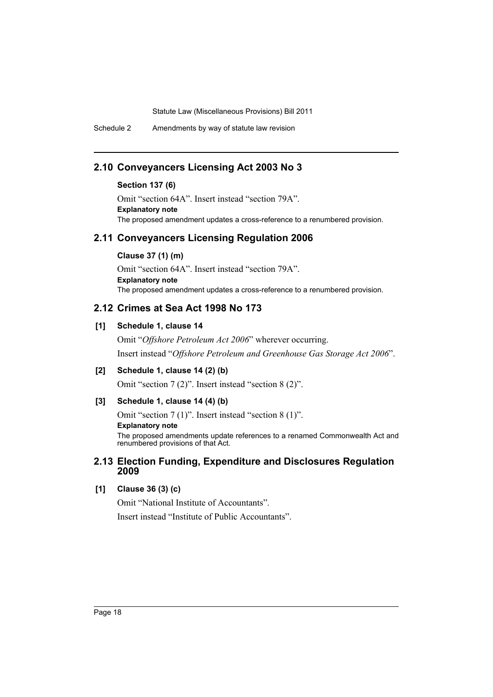Schedule 2 Amendments by way of statute law revision

# **2.10 Conveyancers Licensing Act 2003 No 3**

### **Section 137 (6)**

Omit "section 64A". Insert instead "section 79A". **Explanatory note** The proposed amendment updates a cross-reference to a renumbered provision.

# **2.11 Conveyancers Licensing Regulation 2006**

### **Clause 37 (1) (m)**

Omit "section 64A". Insert instead "section 79A". **Explanatory note** The proposed amendment updates a cross-reference to a renumbered provision.

# **2.12 Crimes at Sea Act 1998 No 173**

# **[1] Schedule 1, clause 14**

Omit "*Offshore Petroleum Act 2006*" wherever occurring. Insert instead "*Offshore Petroleum and Greenhouse Gas Storage Act 2006*".

**[2] Schedule 1, clause 14 (2) (b)**

Omit "section 7 (2)". Insert instead "section 8 (2)".

### **[3] Schedule 1, clause 14 (4) (b)**

Omit "section 7 (1)". Insert instead "section 8 (1)".

**Explanatory note**

The proposed amendments update references to a renamed Commonwealth Act and renumbered provisions of that Act.

# **2.13 Election Funding, Expenditure and Disclosures Regulation 2009**

### **[1] Clause 36 (3) (c)**

Omit "National Institute of Accountants". Insert instead "Institute of Public Accountants".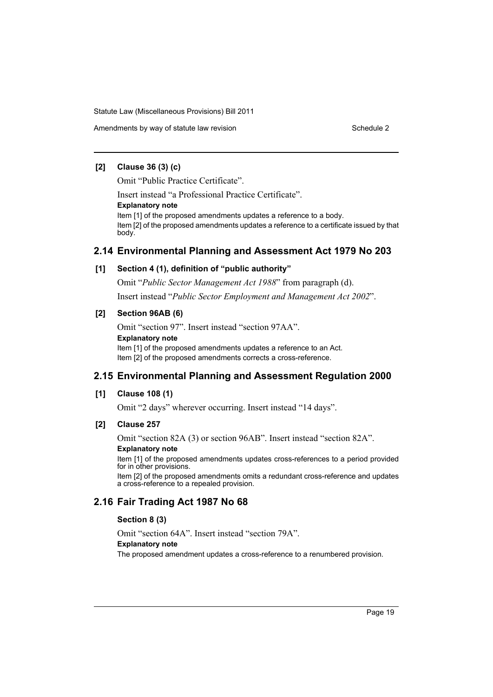Amendments by way of statute law revision Schedule 2 Schedule 2

### **[2] Clause 36 (3) (c)**

Omit "Public Practice Certificate".

Insert instead "a Professional Practice Certificate".

**Explanatory note**

Item [1] of the proposed amendments updates a reference to a body. Item [2] of the proposed amendments updates a reference to a certificate issued by that body.

# **2.14 Environmental Planning and Assessment Act 1979 No 203**

### **[1] Section 4 (1), definition of "public authority"**

Omit "*Public Sector Management Act 1988*" from paragraph (d). Insert instead "*Public Sector Employment and Management Act 2002*".

### **[2] Section 96AB (6)**

Omit "section 97". Insert instead "section 97AA". **Explanatory note** Item [1] of the proposed amendments updates a reference to an Act. Item [2] of the proposed amendments corrects a cross-reference.

# **2.15 Environmental Planning and Assessment Regulation 2000**

### **[1] Clause 108 (1)**

Omit "2 days" wherever occurring. Insert instead "14 days".

### **[2] Clause 257**

Omit "section 82A (3) or section 96AB". Insert instead "section 82A". **Explanatory note**

Item [1] of the proposed amendments updates cross-references to a period provided for in other provisions.

Item [2] of the proposed amendments omits a redundant cross-reference and updates a cross-reference to a repealed provision.

# **2.16 Fair Trading Act 1987 No 68**

### **Section 8 (3)**

Omit "section 64A". Insert instead "section 79A". **Explanatory note** The proposed amendment updates a cross-reference to a renumbered provision.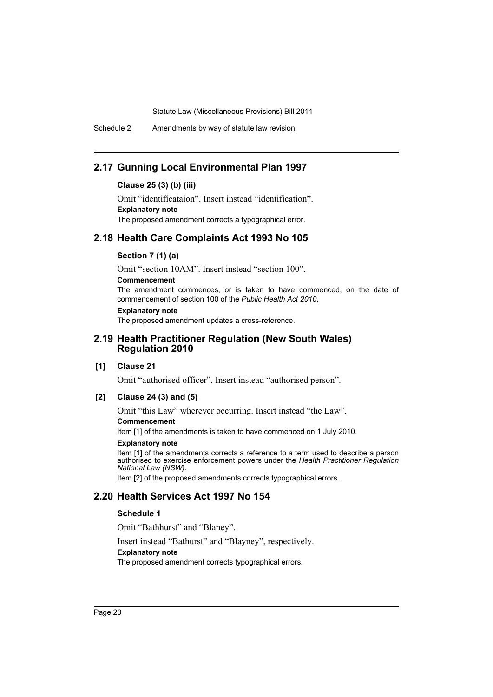Schedule 2 Amendments by way of statute law revision

# **2.17 Gunning Local Environmental Plan 1997**

### **Clause 25 (3) (b) (iii)**

Omit "identificataion". Insert instead "identification". **Explanatory note** The proposed amendment corrects a typographical error.

# **2.18 Health Care Complaints Act 1993 No 105**

### **Section 7 (1) (a)**

Omit "section 10AM". Insert instead "section 100".

### **Commencement**

The amendment commences, or is taken to have commenced, on the date of commencement of section 100 of the *Public Health Act 2010*.

#### **Explanatory note**

The proposed amendment updates a cross-reference.

### **2.19 Health Practitioner Regulation (New South Wales) Regulation 2010**

### **[1] Clause 21**

Omit "authorised officer". Insert instead "authorised person".

### **[2] Clause 24 (3) and (5)**

Omit "this Law" wherever occurring. Insert instead "the Law".

### **Commencement**

Item [1] of the amendments is taken to have commenced on 1 July 2010.

#### **Explanatory note**

Item [1] of the amendments corrects a reference to a term used to describe a person authorised to exercise enforcement powers under the *Health Practitioner Regulation National Law (NSW)*.

Item [2] of the proposed amendments corrects typographical errors.

# **2.20 Health Services Act 1997 No 154**

### **Schedule 1**

Omit "Bathhurst" and "Blaney".

Insert instead "Bathurst" and "Blayney", respectively.

### **Explanatory note**

The proposed amendment corrects typographical errors.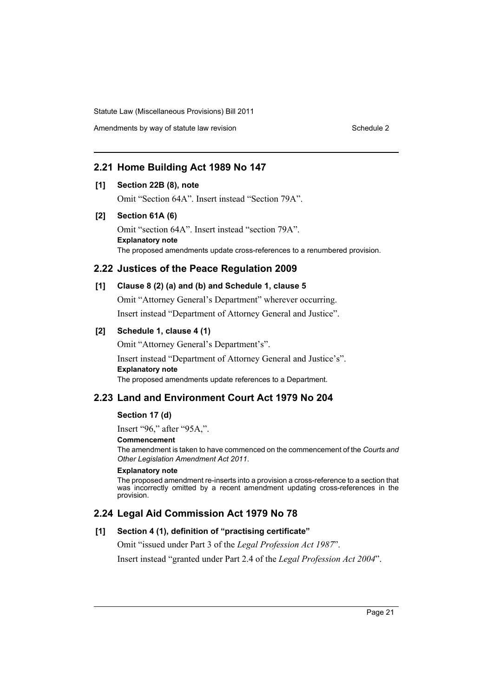Amendments by way of statute law revision Schedule 2

# **2.21 Home Building Act 1989 No 147**

### **[1] Section 22B (8), note**

Omit "Section 64A". Insert instead "Section 79A".

### **[2] Section 61A (6)**

Omit "section 64A". Insert instead "section 79A". **Explanatory note** The proposed amendments update cross-references to a renumbered provision.

# **2.22 Justices of the Peace Regulation 2009**

# **[1] Clause 8 (2) (a) and (b) and Schedule 1, clause 5**

Omit "Attorney General's Department" wherever occurring.

Insert instead "Department of Attorney General and Justice".

### **[2] Schedule 1, clause 4 (1)**

Omit "Attorney General's Department's".

Insert instead "Department of Attorney General and Justice's". **Explanatory note** The proposed amendments update references to a Department.

# **2.23 Land and Environment Court Act 1979 No 204**

### **Section 17 (d)**

Insert "96," after "95A,".

### **Commencement**

The amendment is taken to have commenced on the commencement of the *Courts and Other Legislation Amendment Act 2011*.

### **Explanatory note**

The proposed amendment re-inserts into a provision a cross-reference to a section that was incorrectly omitted by a recent amendment updating cross-references in the provision.

# **2.24 Legal Aid Commission Act 1979 No 78**

### **[1] Section 4 (1), definition of "practising certificate"**

Omit "issued under Part 3 of the *Legal Profession Act 1987*".

Insert instead "granted under Part 2.4 of the *Legal Profession Act 2004*".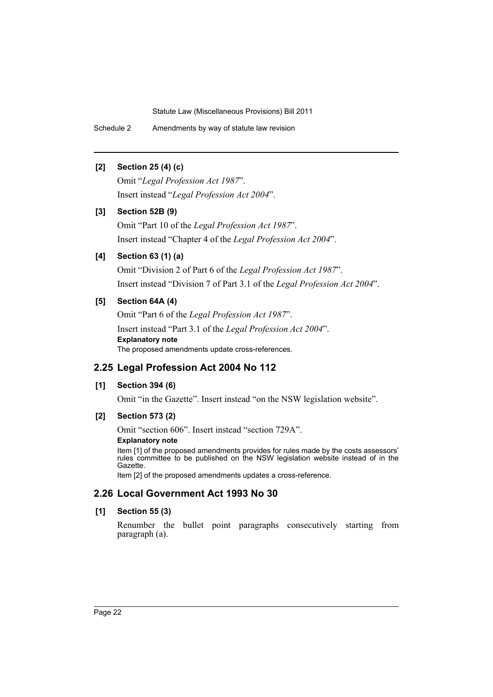Schedule 2 Amendments by way of statute law revision

# **[2] Section 25 (4) (c)**

Omit "*Legal Profession Act 1987*". Insert instead "*Legal Profession Act 2004*".

# **[3] Section 52B (9)**

Omit "Part 10 of the *Legal Profession Act 1987*". Insert instead "Chapter 4 of the *Legal Profession Act 2004*".

# **[4] Section 63 (1) (a)**

Omit "Division 2 of Part 6 of the *Legal Profession Act 1987*". Insert instead "Division 7 of Part 3.1 of the *Legal Profession Act 2004*".

# **[5] Section 64A (4)**

Omit "Part 6 of the *Legal Profession Act 1987*". Insert instead "Part 3.1 of the *Legal Profession Act 2004*". **Explanatory note** The proposed amendments update cross-references.

# **2.25 Legal Profession Act 2004 No 112**

### **[1] Section 394 (6)**

Omit "in the Gazette". Insert instead "on the NSW legislation website".

### **[2] Section 573 (2)**

Omit "section 606". Insert instead "section 729A".

### **Explanatory note**

Item [1] of the proposed amendments provides for rules made by the costs assessors' rules committee to be published on the NSW legislation website instead of in the Gazette.

Item [2] of the proposed amendments updates a cross-reference.

# **2.26 Local Government Act 1993 No 30**

### **[1] Section 55 (3)**

Renumber the bullet point paragraphs consecutively starting from paragraph (a).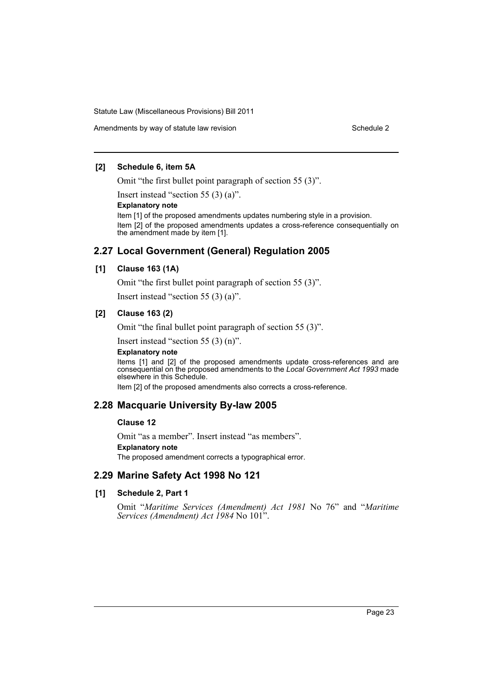### **[2] Schedule 6, item 5A**

Omit "the first bullet point paragraph of section 55 (3)".

Insert instead "section 55 (3) (a)".

#### **Explanatory note**

Item [1] of the proposed amendments updates numbering style in a provision. Item [2] of the proposed amendments updates a cross-reference consequentially on the amendment made by item [1].

# **2.27 Local Government (General) Regulation 2005**

### **[1] Clause 163 (1A)**

Omit "the first bullet point paragraph of section 55 (3)".

Insert instead "section 55 (3) (a)".

### **[2] Clause 163 (2)**

Omit "the final bullet point paragraph of section 55 (3)".

Insert instead "section 55 (3) (n)".

### **Explanatory note**

Items [1] and [2] of the proposed amendments update cross-references and are consequential on the proposed amendments to the *Local Government Act 1993* made elsewhere in this Schedule.

Item [2] of the proposed amendments also corrects a cross-reference.

# **2.28 Macquarie University By-law 2005**

### **Clause 12**

Omit "as a member". Insert instead "as members". **Explanatory note**

The proposed amendment corrects a typographical error.

# **2.29 Marine Safety Act 1998 No 121**

### **[1] Schedule 2, Part 1**

Omit "*Maritime Services (Amendment) Act 1981* No 76" and "*Maritime Services (Amendment) Act 1984* No 101".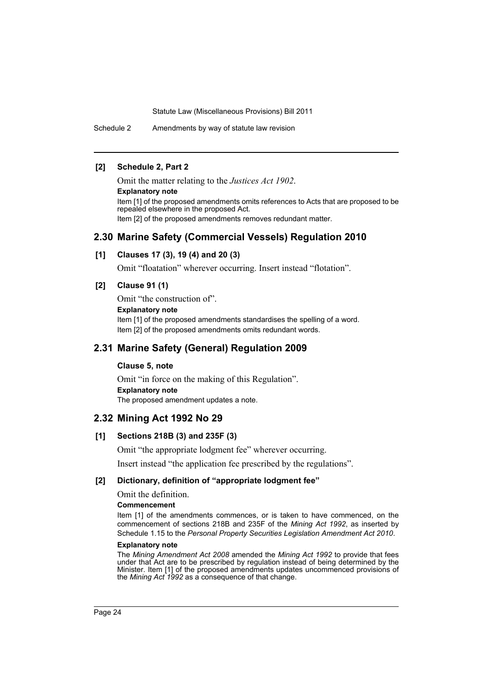Schedule 2 Amendments by way of statute law revision

### **[2] Schedule 2, Part 2**

Omit the matter relating to the *Justices Act 1902*. **Explanatory note** Item [1] of the proposed amendments omits references to Acts that are proposed to be repealed elsewhere in the proposed Act. Item [2] of the proposed amendments removes redundant matter.

# **2.30 Marine Safety (Commercial Vessels) Regulation 2010**

### **[1] Clauses 17 (3), 19 (4) and 20 (3)**

Omit "floatation" wherever occurring. Insert instead "flotation".

### **[2] Clause 91 (1)**

Omit "the construction of". **Explanatory note** Item [1] of the proposed amendments standardises the spelling of a word. Item [2] of the proposed amendments omits redundant words.

# **2.31 Marine Safety (General) Regulation 2009**

#### **Clause 5, note**

Omit "in force on the making of this Regulation". **Explanatory note** The proposed amendment updates a note.

### **2.32 Mining Act 1992 No 29**

### **[1] Sections 218B (3) and 235F (3)**

Omit "the appropriate lodgment fee" wherever occurring.

Insert instead "the application fee prescribed by the regulations".

#### **[2] Dictionary, definition of "appropriate lodgment fee"**

### Omit the definition.

### **Commencement**

Item [1] of the amendments commences, or is taken to have commenced, on the commencement of sections 218B and 235F of the *Mining Act 1992*, as inserted by Schedule 1.15 to the *Personal Property Securities Legislation Amendment Act 2010*.

#### **Explanatory note**

The *Mining Amendment Act 2008* amended the *Mining Act 1992* to provide that fees under that Act are to be prescribed by regulation instead of being determined by the Minister. Item [1] of the proposed amendments updates uncommenced provisions of the *Mining Act 1992* as a consequence of that change.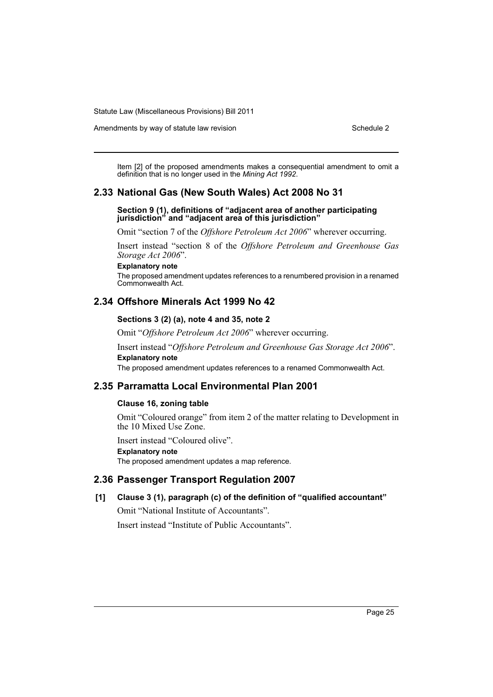Amendments by way of statute law revision Schedule 2

Item [2] of the proposed amendments makes a consequential amendment to omit a definition that is no longer used in the *Mining Act 1992*.

# **2.33 National Gas (New South Wales) Act 2008 No 31**

#### **Section 9 (1), definitions of "adjacent area of another participating jurisdiction" and "adjacent area of this jurisdiction"**

Omit "section 7 of the *Offshore Petroleum Act 2006*" wherever occurring.

Insert instead "section 8 of the *Offshore Petroleum and Greenhouse Gas Storage Act 2006*".

### **Explanatory note**

The proposed amendment updates references to a renumbered provision in a renamed Commonwealth Act.

# **2.34 Offshore Minerals Act 1999 No 42**

### **Sections 3 (2) (a), note 4 and 35, note 2**

Omit "*Offshore Petroleum Act 2006*" wherever occurring.

Insert instead "*Offshore Petroleum and Greenhouse Gas Storage Act 2006*". **Explanatory note**

The proposed amendment updates references to a renamed Commonwealth Act.

### **2.35 Parramatta Local Environmental Plan 2001**

### **Clause 16, zoning table**

Omit "Coloured orange" from item 2 of the matter relating to Development in the 10 Mixed Use Zone.

Insert instead "Coloured olive".

**Explanatory note**

The proposed amendment updates a map reference.

### **2.36 Passenger Transport Regulation 2007**

### **[1] Clause 3 (1), paragraph (c) of the definition of "qualified accountant"**

Omit "National Institute of Accountants".

Insert instead "Institute of Public Accountants".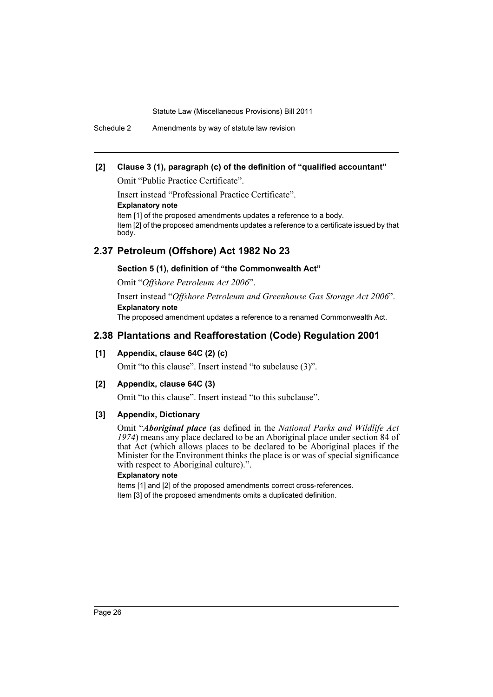Schedule 2 Amendments by way of statute law revision

# **[2] Clause 3 (1), paragraph (c) of the definition of "qualified accountant"**

Omit "Public Practice Certificate".

Insert instead "Professional Practice Certificate". **Explanatory note** Item [1] of the proposed amendments updates a reference to a body. Item [2] of the proposed amendments updates a reference to a certificate issued by that body.

# **2.37 Petroleum (Offshore) Act 1982 No 23**

### **Section 5 (1), definition of "the Commonwealth Act"**

Omit "*Offshore Petroleum Act 2006*".

Insert instead "*Offshore Petroleum and Greenhouse Gas Storage Act 2006*". **Explanatory note**

The proposed amendment updates a reference to a renamed Commonwealth Act.

# **2.38 Plantations and Reafforestation (Code) Regulation 2001**

### **[1] Appendix, clause 64C (2) (c)**

Omit "to this clause". Insert instead "to subclause (3)".

### **[2] Appendix, clause 64C (3)**

Omit "to this clause". Insert instead "to this subclause".

### **[3] Appendix, Dictionary**

Omit "*Aboriginal place* (as defined in the *National Parks and Wildlife Act 1974*) means any place declared to be an Aboriginal place under section 84 of that Act (which allows places to be declared to be Aboriginal places if the Minister for the Environment thinks the place is or was of special significance with respect to Aboriginal culture).".

### **Explanatory note**

Items [1] and [2] of the proposed amendments correct cross-references. Item [3] of the proposed amendments omits a duplicated definition.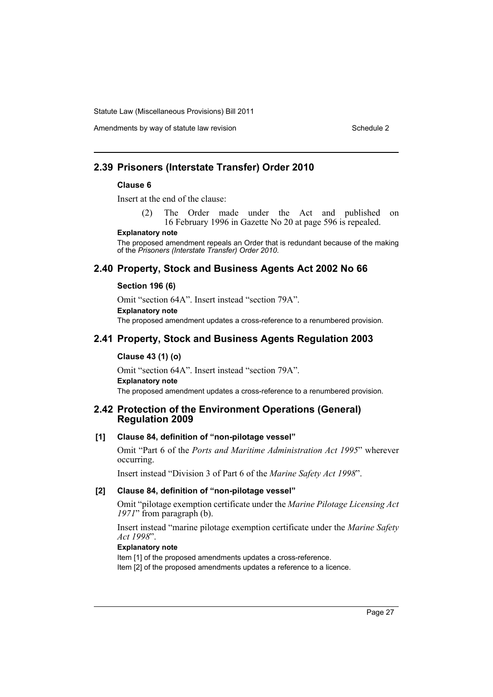Amendments by way of statute law revision Schedule 2 Schedule 2

# **2.39 Prisoners (Interstate Transfer) Order 2010**

### **Clause 6**

Insert at the end of the clause:

(2) The Order made under the Act and published on 16 February 1996 in Gazette No 20 at page 596 is repealed.

#### **Explanatory note**

The proposed amendment repeals an Order that is redundant because of the making of the *Prisoners (Interstate Transfer) Order 2010*.

# **2.40 Property, Stock and Business Agents Act 2002 No 66**

### **Section 196 (6)**

Omit "section 64A". Insert instead "section 79A". **Explanatory note** The proposed amendment updates a cross-reference to a renumbered provision.

# **2.41 Property, Stock and Business Agents Regulation 2003**

### **Clause 43 (1) (o)**

Omit "section 64A". Insert instead "section 79A". **Explanatory note** The proposed amendment updates a cross-reference to a renumbered provision.

# **2.42 Protection of the Environment Operations (General) Regulation 2009**

### **[1] Clause 84, definition of "non-pilotage vessel"**

Omit "Part 6 of the *Ports and Maritime Administration Act 1995*" wherever occurring.

Insert instead "Division 3 of Part 6 of the *Marine Safety Act 1998*".

### **[2] Clause 84, definition of "non-pilotage vessel"**

Omit "pilotage exemption certificate under the *Marine Pilotage Licensing Act 1971*" from paragraph (b).

Insert instead "marine pilotage exemption certificate under the *Marine Safety Act 1998*".

### **Explanatory note**

Item [1] of the proposed amendments updates a cross-reference.

Item [2] of the proposed amendments updates a reference to a licence.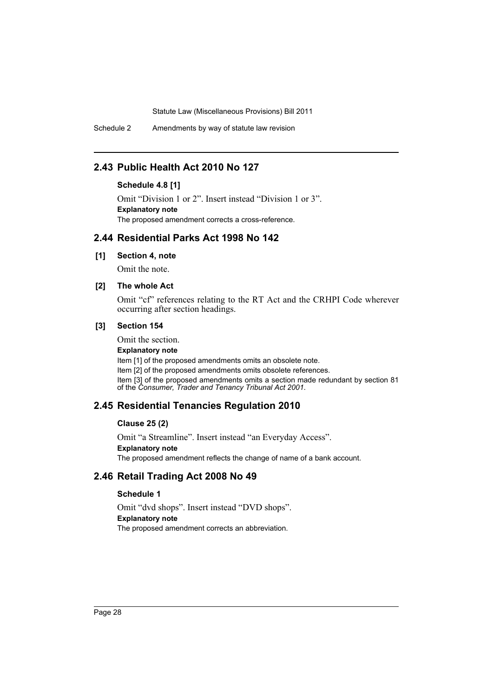Schedule 2 Amendments by way of statute law revision

# **2.43 Public Health Act 2010 No 127**

# **Schedule 4.8 [1]**

Omit "Division 1 or 2". Insert instead "Division 1 or 3". **Explanatory note** The proposed amendment corrects a cross-reference.

# **2.44 Residential Parks Act 1998 No 142**

### **[1] Section 4, note**

Omit the note.

# **[2] The whole Act**

Omit "cf" references relating to the RT Act and the CRHPI Code wherever occurring after section headings.

### **[3] Section 154**

Omit the section. **Explanatory note** Item [1] of the proposed amendments omits an obsolete note. Item [2] of the proposed amendments omits obsolete references. Item [3] of the proposed amendments omits a section made redundant by section 81 of the *Consumer, Trader and Tenancy Tribunal Act 2001*.

# **2.45 Residential Tenancies Regulation 2010**

### **Clause 25 (2)**

Omit "a Streamline". Insert instead "an Everyday Access". **Explanatory note** The proposed amendment reflects the change of name of a bank account.

# **2.46 Retail Trading Act 2008 No 49**

### **Schedule 1**

Omit "dvd shops". Insert instead "DVD shops". **Explanatory note** The proposed amendment corrects an abbreviation.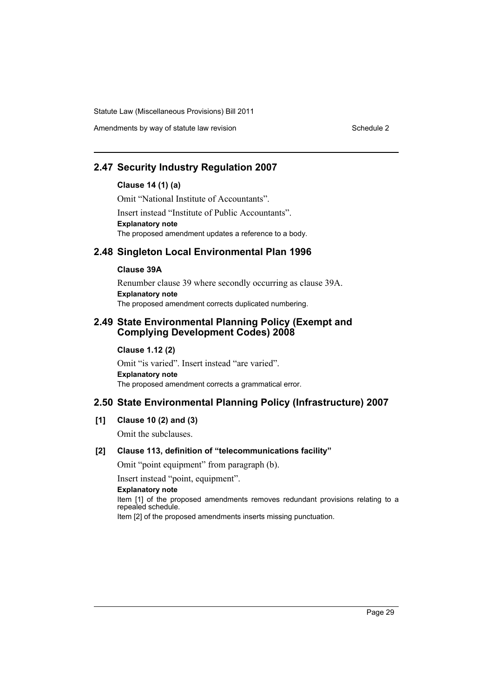# **2.47 Security Industry Regulation 2007**

# **Clause 14 (1) (a)**

Omit "National Institute of Accountants".

Insert instead "Institute of Public Accountants". **Explanatory note** The proposed amendment updates a reference to a body.

# **2.48 Singleton Local Environmental Plan 1996**

### **Clause 39A**

Renumber clause 39 where secondly occurring as clause 39A. **Explanatory note** The proposed amendment corrects duplicated numbering.

# **2.49 State Environmental Planning Policy (Exempt and Complying Development Codes) 2008**

# **Clause 1.12 (2)**

Omit "is varied". Insert instead "are varied". **Explanatory note** The proposed amendment corrects a grammatical error.

# **2.50 State Environmental Planning Policy (Infrastructure) 2007**

**[1] Clause 10 (2) and (3)**

Omit the subclauses.

### **[2] Clause 113, definition of "telecommunications facility"**

Omit "point equipment" from paragraph (b).

Insert instead "point, equipment".

**Explanatory note**

Item [1] of the proposed amendments removes redundant provisions relating to a repealed schedule.

Item [2] of the proposed amendments inserts missing punctuation.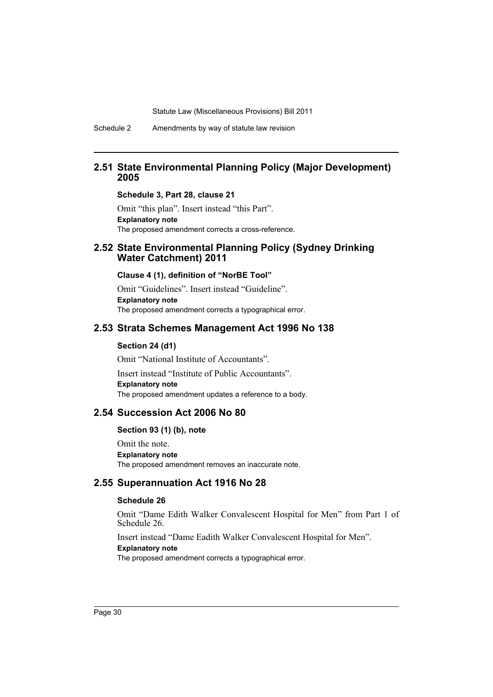Schedule 2 Amendments by way of statute law revision

### **2.51 State Environmental Planning Policy (Major Development) 2005**

**Schedule 3, Part 28, clause 21**

Omit "this plan". Insert instead "this Part". **Explanatory note** The proposed amendment corrects a cross-reference.

### **2.52 State Environmental Planning Policy (Sydney Drinking Water Catchment) 2011**

#### **Clause 4 (1), definition of "NorBE Tool"**

Omit "Guidelines". Insert instead "Guideline". **Explanatory note** The proposed amendment corrects a typographical error.

### **2.53 Strata Schemes Management Act 1996 No 138**

#### **Section 24 (d1)**

Omit "National Institute of Accountants".

Insert instead "Institute of Public Accountants". **Explanatory note** The proposed amendment updates a reference to a body.

### **2.54 Succession Act 2006 No 80**

### **Section 93 (1) (b), note**

Omit the note. **Explanatory note** The proposed amendment removes an inaccurate note.

### **2.55 Superannuation Act 1916 No 28**

### **Schedule 26**

Omit "Dame Edith Walker Convalescent Hospital for Men" from Part 1 of Schedule 26.

Insert instead "Dame Eadith Walker Convalescent Hospital for Men". **Explanatory note**

The proposed amendment corrects a typographical error.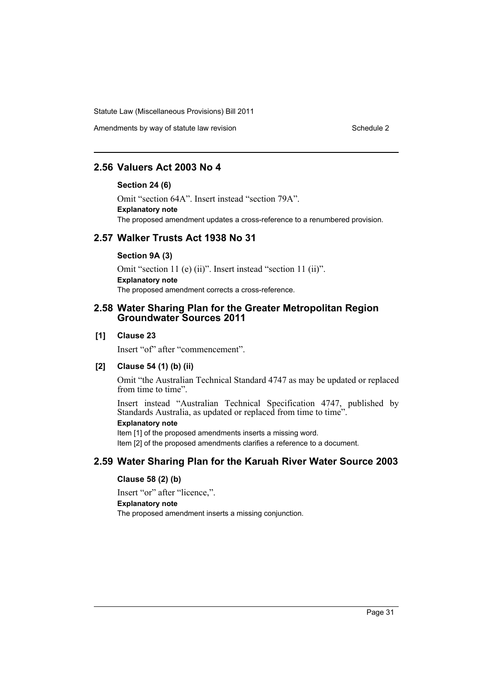Amendments by way of statute law revision Schedule 2 Schedule 2

# **2.56 Valuers Act 2003 No 4**

### **Section 24 (6)**

Omit "section 64A". Insert instead "section 79A". **Explanatory note** The proposed amendment updates a cross-reference to a renumbered provision.

# **2.57 Walker Trusts Act 1938 No 31**

### **Section 9A (3)**

Omit "section 11 (e) (ii)". Insert instead "section 11 (ii)". **Explanatory note** The proposed amendment corrects a cross-reference.

# **2.58 Water Sharing Plan for the Greater Metropolitan Region Groundwater Sources 2011**

### **[1] Clause 23**

Insert "of" after "commencement".

### **[2] Clause 54 (1) (b) (ii)**

Omit "the Australian Technical Standard 4747 as may be updated or replaced from time to time".

Insert instead "Australian Technical Specification 4747, published by Standards Australia, as updated or replaced from time to time".

### **Explanatory note**

Item [1] of the proposed amendments inserts a missing word. Item [2] of the proposed amendments clarifies a reference to a document.

# **2.59 Water Sharing Plan for the Karuah River Water Source 2003**

### **Clause 58 (2) (b)**

Insert "or" after "licence,".

### **Explanatory note**

The proposed amendment inserts a missing conjunction.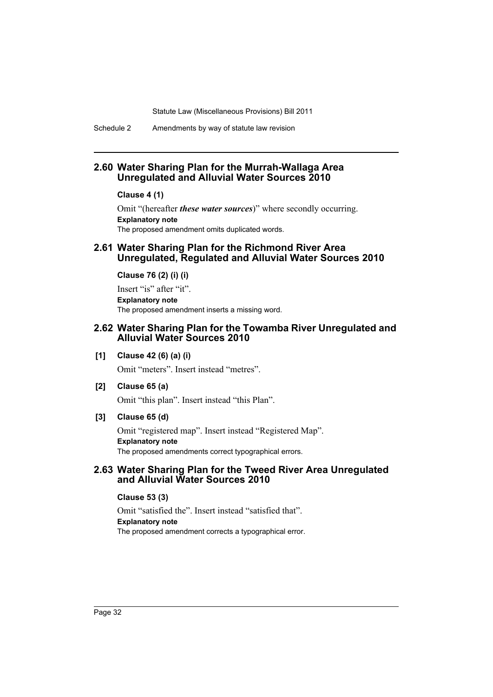Schedule 2 Amendments by way of statute law revision

# **2.60 Water Sharing Plan for the Murrah-Wallaga Area Unregulated and Alluvial Water Sources 2010**

#### **Clause 4 (1)**

Omit "(hereafter *these water sources*)" where secondly occurring. **Explanatory note** The proposed amendment omits duplicated words.

### **2.61 Water Sharing Plan for the Richmond River Area Unregulated, Regulated and Alluvial Water Sources 2010**

**Clause 76 (2) (i) (i)**

Insert "is" after "it". **Explanatory note** The proposed amendment inserts a missing word.

### **2.62 Water Sharing Plan for the Towamba River Unregulated and Alluvial Water Sources 2010**

### **[1] Clause 42 (6) (a) (i)**

Omit "meters". Insert instead "metres".

**[2] Clause 65 (a)**

Omit "this plan". Insert instead "this Plan".

### **[3] Clause 65 (d)**

Omit "registered map". Insert instead "Registered Map". **Explanatory note** The proposed amendments correct typographical errors.

# **2.63 Water Sharing Plan for the Tweed River Area Unregulated and Alluvial Water Sources 2010**

### **Clause 53 (3)**

Omit "satisfied the". Insert instead "satisfied that". **Explanatory note** The proposed amendment corrects a typographical error.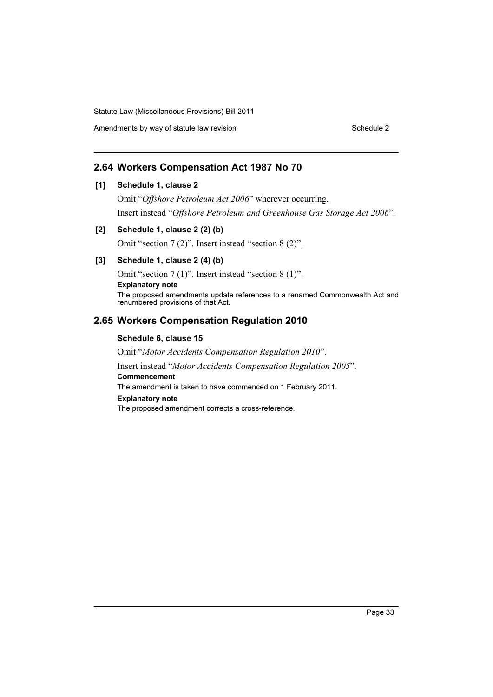Amendments by way of statute law revision Schedule 2 Schedule 2

# **2.64 Workers Compensation Act 1987 No 70**

### **[1] Schedule 1, clause 2**

Omit "*Offshore Petroleum Act 2006*" wherever occurring. Insert instead "*Offshore Petroleum and Greenhouse Gas Storage Act 2006*".

### **[2] Schedule 1, clause 2 (2) (b)**

Omit "section 7 (2)". Insert instead "section 8 (2)".

### **[3] Schedule 1, clause 2 (4) (b)**

Omit "section 7 (1)". Insert instead "section 8 (1)". **Explanatory note** The proposed amendments update references to a renamed Commonwealth Act and renumbered provisions of that Act.

# **2.65 Workers Compensation Regulation 2010**

### **Schedule 6, clause 15**

Omit "*Motor Accidents Compensation Regulation 2010*".

Insert instead "*Motor Accidents Compensation Regulation 2005*". **Commencement**

The amendment is taken to have commenced on 1 February 2011.

#### **Explanatory note**

The proposed amendment corrects a cross-reference.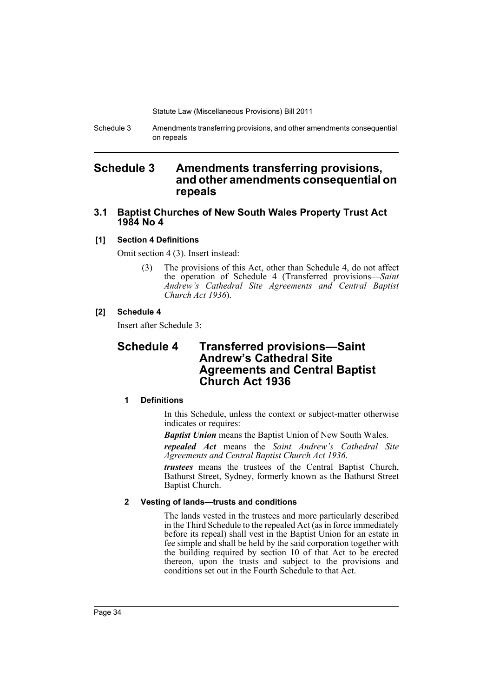Schedule 3 Amendments transferring provisions, and other amendments consequential on repeals

# <span id="page-35-0"></span>**Schedule 3 Amendments transferring provisions, and other amendments consequential on repeals**

# **3.1 Baptist Churches of New South Wales Property Trust Act 1984 No 4**

### **[1] Section 4 Definitions**

Omit section 4 (3). Insert instead:

(3) The provisions of this Act, other than Schedule 4, do not affect the operation of Schedule 4 (Transferred provisions—*Saint Andrew's Cathedral Site Agreements and Central Baptist Church Act 1936*).

### **[2] Schedule 4**

Insert after Schedule 3:

# **Schedule 4 Transferred provisions—Saint Andrew's Cathedral Site Agreements and Central Baptist Church Act 1936**

### **1 Definitions**

In this Schedule, unless the context or subject-matter otherwise indicates or requires:

*Baptist Union* means the Baptist Union of New South Wales.

*repealed Act* means the *Saint Andrew's Cathedral Site Agreements and Central Baptist Church Act 1936*.

*trustees* means the trustees of the Central Baptist Church, Bathurst Street, Sydney, formerly known as the Bathurst Street Baptist Church.

### **2 Vesting of lands—trusts and conditions**

The lands vested in the trustees and more particularly described in the Third Schedule to the repealed Act (as in force immediately before its repeal) shall vest in the Baptist Union for an estate in fee simple and shall be held by the said corporation together with the building required by section 10 of that Act to be erected thereon, upon the trusts and subject to the provisions and conditions set out in the Fourth Schedule to that Act.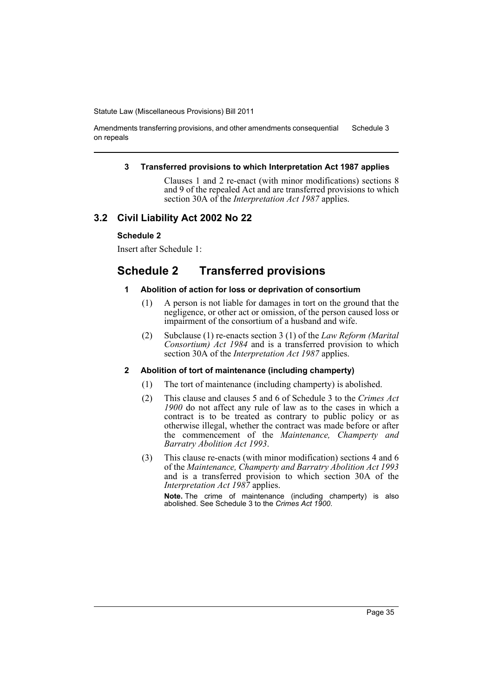Amendments transferring provisions, and other amendments consequential on repeals Schedule 3

#### **3 Transferred provisions to which Interpretation Act 1987 applies**

Clauses 1 and 2 re-enact (with minor modifications) sections 8 and 9 of the repealed Act and are transferred provisions to which section 30A of the *Interpretation Act 1987* applies.

## **3.2 Civil Liability Act 2002 No 22**

## **Schedule 2**

Insert after Schedule 1:

# **Schedule 2 Transferred provisions**

### **1 Abolition of action for loss or deprivation of consortium**

- (1) A person is not liable for damages in tort on the ground that the negligence, or other act or omission, of the person caused loss or impairment of the consortium of a husband and wife.
- (2) Subclause (1) re-enacts section 3 (1) of the *Law Reform (Marital Consortium) Act 1984* and is a transferred provision to which section 30A of the *Interpretation Act 1987* applies.

## **2 Abolition of tort of maintenance (including champerty)**

- (1) The tort of maintenance (including champerty) is abolished.
- (2) This clause and clauses 5 and 6 of Schedule 3 to the *Crimes Act 1900* do not affect any rule of law as to the cases in which a contract is to be treated as contrary to public policy or as otherwise illegal, whether the contract was made before or after the commencement of the *Maintenance, Champerty and Barratry Abolition Act 1993*.
- (3) This clause re-enacts (with minor modification) sections 4 and 6 of the *Maintenance, Champerty and Barratry Abolition Act 1993* and is a transferred provision to which section 30A of the *Interpretation Act 1987* applies.

**Note.** The crime of maintenance (including champerty) is also abolished. See Schedule 3 to the *Crimes Act 1900*.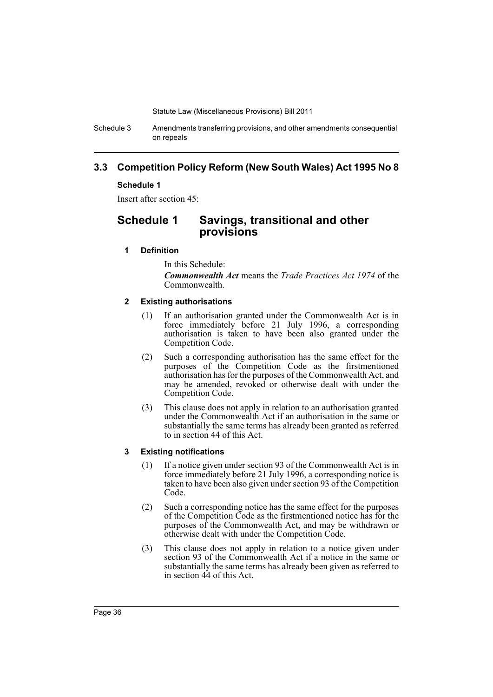Schedule 3 Amendments transferring provisions, and other amendments consequential on repeals

# **3.3 Competition Policy Reform (New South Wales) Act 1995 No 8**

## **Schedule 1**

Insert after section 45:

# **Schedule 1 Savings, transitional and other provisions**

## **1 Definition**

In this Schedule:

*Commonwealth Act* means the *Trade Practices Act 1974* of the Commonwealth.

### **2 Existing authorisations**

- (1) If an authorisation granted under the Commonwealth Act is in force immediately before 21 July 1996, a corresponding authorisation is taken to have been also granted under the Competition Code.
- (2) Such a corresponding authorisation has the same effect for the purposes of the Competition Code as the firstmentioned authorisation has for the purposes of the Commonwealth Act, and may be amended, revoked or otherwise dealt with under the Competition Code.
- (3) This clause does not apply in relation to an authorisation granted under the Commonwealth Act if an authorisation in the same or substantially the same terms has already been granted as referred to in section 44 of this Act.

## **3 Existing notifications**

- (1) If a notice given under section 93 of the Commonwealth Act is in force immediately before 21 July 1996, a corresponding notice is taken to have been also given under section 93 of the Competition Code.
- (2) Such a corresponding notice has the same effect for the purposes of the Competition Code as the firstmentioned notice has for the purposes of the Commonwealth Act, and may be withdrawn or otherwise dealt with under the Competition Code.
- (3) This clause does not apply in relation to a notice given under section 93 of the Commonwealth Act if a notice in the same or substantially the same terms has already been given as referred to in section 44 of this Act.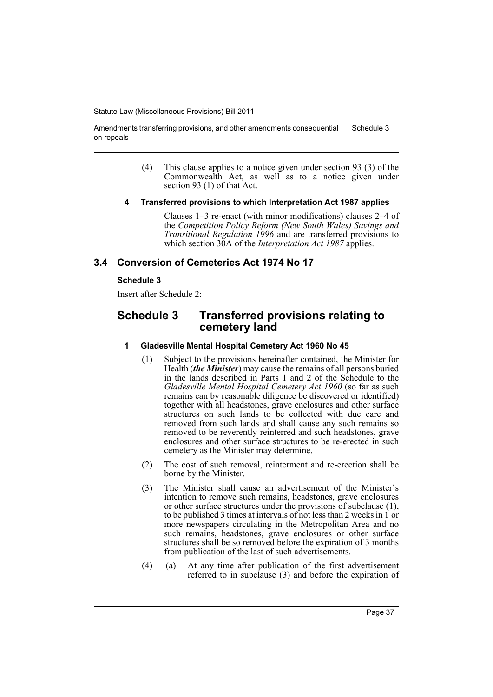Amendments transferring provisions, and other amendments consequential on repeals Schedule 3

- (4) This clause applies to a notice given under section 93 (3) of the Commonwealth Act, as well as to a notice given under section 93 (1) of that Act.
- **4 Transferred provisions to which Interpretation Act 1987 applies**

Clauses 1–3 re-enact (with minor modifications) clauses 2–4 of the *Competition Policy Reform (New South Wales) Savings and Transitional Regulation 1996* and are transferred provisions to which section 30A of the *Interpretation Act 1987* applies.

## **3.4 Conversion of Cemeteries Act 1974 No 17**

### **Schedule 3**

Insert after Schedule 2:

# **Schedule 3 Transferred provisions relating to cemetery land**

### **1 Gladesville Mental Hospital Cemetery Act 1960 No 45**

- (1) Subject to the provisions hereinafter contained, the Minister for Health (*the Minister*) may cause the remains of all persons buried in the lands described in Parts 1 and 2 of the Schedule to the *Gladesville Mental Hospital Cemetery Act 1960* (so far as such remains can by reasonable diligence be discovered or identified) together with all headstones, grave enclosures and other surface structures on such lands to be collected with due care and removed from such lands and shall cause any such remains so removed to be reverently reinterred and such headstones, grave enclosures and other surface structures to be re-erected in such cemetery as the Minister may determine.
- (2) The cost of such removal, reinterment and re-erection shall be borne by the Minister.
- (3) The Minister shall cause an advertisement of the Minister's intention to remove such remains, headstones, grave enclosures or other surface structures under the provisions of subclause (1), to be published 3 times at intervals of not less than 2 weeks in 1 or more newspapers circulating in the Metropolitan Area and no such remains, headstones, grave enclosures or other surface structures shall be so removed before the expiration of 3 months from publication of the last of such advertisements.
- (4) (a) At any time after publication of the first advertisement referred to in subclause (3) and before the expiration of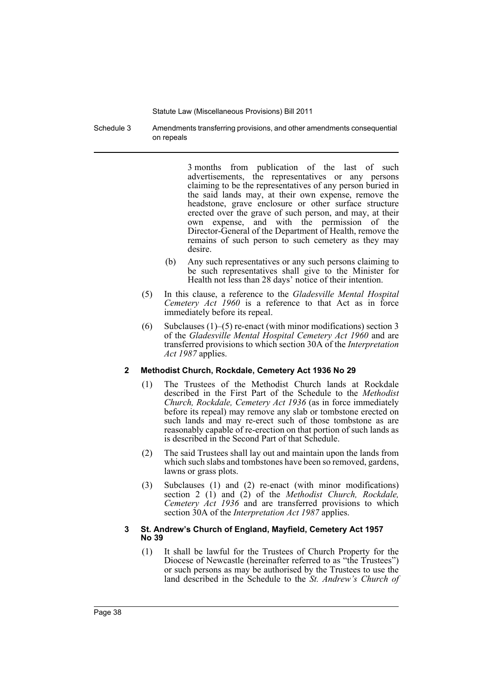Schedule 3 Amendments transferring provisions, and other amendments consequential on repeals

> 3 months from publication of the last of such advertisements, the representatives or any persons claiming to be the representatives of any person buried in the said lands may, at their own expense, remove the headstone, grave enclosure or other surface structure erected over the grave of such person, and may, at their own expense, and with the permission of the Director-General of the Department of Health, remove the remains of such person to such cemetery as they may desire.

- (b) Any such representatives or any such persons claiming to be such representatives shall give to the Minister for Health not less than 28 days' notice of their intention.
- (5) In this clause, a reference to the *Gladesville Mental Hospital Cemetery Act 1960* is a reference to that Act as in force immediately before its repeal.
- (6) Subclauses  $(1)$ –(5) re-enact (with minor modifications) section 3 of the *Gladesville Mental Hospital Cemetery Act 1960* and are transferred provisions to which section 30A of the *Interpretation Act 1987* applies.

#### **2 Methodist Church, Rockdale, Cemetery Act 1936 No 29**

- (1) The Trustees of the Methodist Church lands at Rockdale described in the First Part of the Schedule to the *Methodist Church, Rockdale, Cemetery Act 1936* (as in force immediately before its repeal) may remove any slab or tombstone erected on such lands and may re-erect such of those tombstone as are reasonably capable of re-erection on that portion of such lands as is described in the Second Part of that Schedule.
- (2) The said Trustees shall lay out and maintain upon the lands from which such slabs and tombstones have been so removed, gardens, lawns or grass plots.
- (3) Subclauses (1) and (2) re-enact (with minor modifications) section 2 (1) and (2) of the *Methodist Church, Rockdale, Cemetery Act 1936* and are transferred provisions to which section 30A of the *Interpretation Act 1987* applies.

#### **3 St. Andrew's Church of England, Mayfield, Cemetery Act 1957 No 39**

(1) It shall be lawful for the Trustees of Church Property for the Diocese of Newcastle (hereinafter referred to as "the Trustees") or such persons as may be authorised by the Trustees to use the land described in the Schedule to the *St. Andrew's Church of*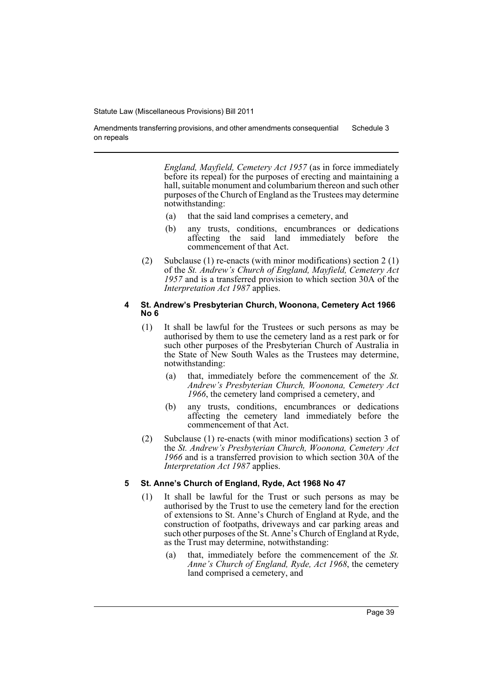Amendments transferring provisions, and other amendments consequential on repeals Schedule 3

> *England, Mayfield, Cemetery Act 1957* (as in force immediately before its repeal) for the purposes of erecting and maintaining a hall, suitable monument and columbarium thereon and such other purposes of the Church of England as the Trustees may determine notwithstanding:

- (a) that the said land comprises a cemetery, and
- (b) any trusts, conditions, encumbrances or dedications affecting the said land immediately before the commencement of that Act.
- (2) Subclause (1) re-enacts (with minor modifications) section 2 (1) of the *St. Andrew's Church of England, Mayfield, Cemetery Act 1957* and is a transferred provision to which section 30A of the *Interpretation Act 1987* applies.

#### **4 St. Andrew's Presbyterian Church, Woonona, Cemetery Act 1966 No 6**

- (1) It shall be lawful for the Trustees or such persons as may be authorised by them to use the cemetery land as a rest park or for such other purposes of the Presbyterian Church of Australia in the State of New South Wales as the Trustees may determine, notwithstanding:
	- (a) that, immediately before the commencement of the *St. Andrew's Presbyterian Church, Woonona, Cemetery Act 1966*, the cemetery land comprised a cemetery, and
	- (b) any trusts, conditions, encumbrances or dedications affecting the cemetery land immediately before the commencement of that Act.
- (2) Subclause (1) re-enacts (with minor modifications) section 3 of the *St. Andrew's Presbyterian Church, Woonona, Cemetery Act 1966* and is a transferred provision to which section 30A of the *Interpretation Act 1987* applies.

#### **5 St. Anne's Church of England, Ryde, Act 1968 No 47**

- (1) It shall be lawful for the Trust or such persons as may be authorised by the Trust to use the cemetery land for the erection of extensions to St. Anne's Church of England at Ryde, and the construction of footpaths, driveways and car parking areas and such other purposes of the St. Anne's Church of England at Ryde, as the Trust may determine, notwithstanding:
	- (a) that, immediately before the commencement of the *St. Anne's Church of England, Ryde, Act 1968*, the cemetery land comprised a cemetery, and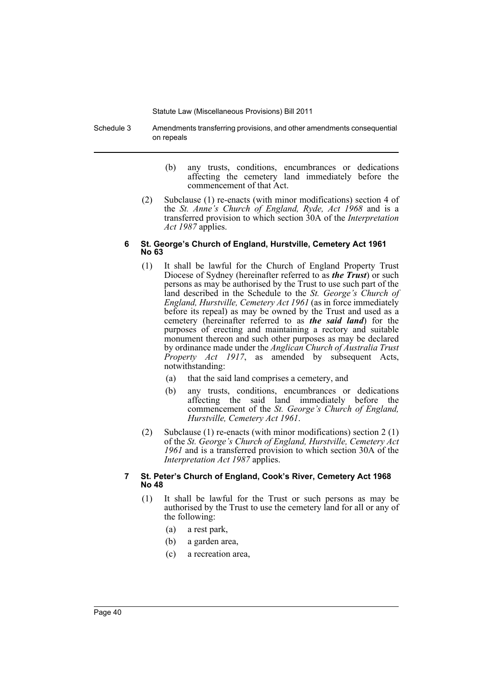Schedule 3 Amendments transferring provisions, and other amendments consequential on repeals

- (b) any trusts, conditions, encumbrances or dedications affecting the cemetery land immediately before the commencement of that Act.
- (2) Subclause (1) re-enacts (with minor modifications) section 4 of the *St. Anne's Church of England, Ryde, Act 1968* and is a transferred provision to which section 30A of the *Interpretation Act 1987* applies.

#### **6 St. George's Church of England, Hurstville, Cemetery Act 1961 No 63**

- (1) It shall be lawful for the Church of England Property Trust Diocese of Sydney (hereinafter referred to as *the Trust*) or such persons as may be authorised by the Trust to use such part of the land described in the Schedule to the *St. George's Church of England, Hurstville, Cemetery Act 1961* (as in force immediately before its repeal) as may be owned by the Trust and used as a cemetery (hereinafter referred to as *the said land*) for the purposes of erecting and maintaining a rectory and suitable monument thereon and such other purposes as may be declared by ordinance made under the *Anglican Church of Australia Trust Property Act 1917*, as amended by subsequent Acts, notwithstanding:
	- (a) that the said land comprises a cemetery, and
	- (b) any trusts, conditions, encumbrances or dedications affecting the said land immediately before the commencement of the *St. George's Church of England, Hurstville, Cemetery Act 1961*.
- (2) Subclause (1) re-enacts (with minor modifications) section 2 (1) of the *St. George's Church of England, Hurstville, Cemetery Act 1961* and is a transferred provision to which section 30A of the *Interpretation Act 1987* applies.

### **7 St. Peter's Church of England, Cook's River, Cemetery Act 1968 No 48**

- (1) It shall be lawful for the Trust or such persons as may be authorised by the Trust to use the cemetery land for all or any of the following:
	- (a) a rest park,
	- (b) a garden area,
	- (c) a recreation area,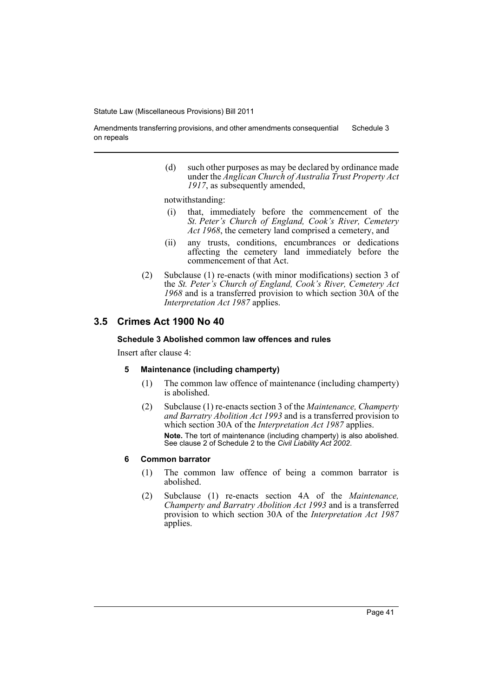Amendments transferring provisions, and other amendments consequential on repeals Schedule 3

> (d) such other purposes as may be declared by ordinance made under the *Anglican Church of Australia Trust Property Act 1917*, as subsequently amended,

notwithstanding:

- (i) that, immediately before the commencement of the *St. Peter's Church of England, Cook's River, Cemetery Act 1968*, the cemetery land comprised a cemetery, and
- (ii) any trusts, conditions, encumbrances or dedications affecting the cemetery land immediately before the commencement of that Act.
- (2) Subclause (1) re-enacts (with minor modifications) section 3 of the *St. Peter's Church of England, Cook's River, Cemetery Act 1968* and is a transferred provision to which section 30A of the *Interpretation Act 1987* applies.

# **3.5 Crimes Act 1900 No 40**

#### **Schedule 3 Abolished common law offences and rules**

Insert after clause 4:

#### **5 Maintenance (including champerty)**

- (1) The common law offence of maintenance (including champerty) is abolished.
- (2) Subclause (1) re-enacts section 3 of the *Maintenance, Champerty and Barratry Abolition Act 1993* and is a transferred provision to which section 30A of the *Interpretation Act 1987* applies. **Note.** The tort of maintenance (including champerty) is also abolished. See clause 2 of Schedule 2 to the *Civil Liability Act 2002*.

#### **6 Common barrator**

- (1) The common law offence of being a common barrator is abolished.
- (2) Subclause (1) re-enacts section 4A of the *Maintenance, Champerty and Barratry Abolition Act 1993* and is a transferred provision to which section 30A of the *Interpretation Act 1987* applies.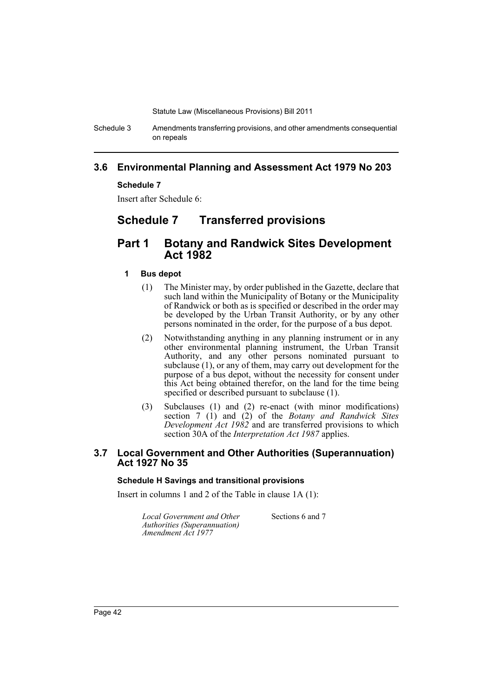Schedule 3 Amendments transferring provisions, and other amendments consequential on repeals

# **3.6 Environmental Planning and Assessment Act 1979 No 203**

### **Schedule 7**

Insert after Schedule 6:

# **Schedule 7 Transferred provisions**

# **Part 1 Botany and Randwick Sites Development Act 1982**

#### **1 Bus depot**

- (1) The Minister may, by order published in the Gazette, declare that such land within the Municipality of Botany or the Municipality of Randwick or both as is specified or described in the order may be developed by the Urban Transit Authority, or by any other persons nominated in the order, for the purpose of a bus depot.
- (2) Notwithstanding anything in any planning instrument or in any other environmental planning instrument, the Urban Transit Authority, and any other persons nominated pursuant to subclause (1), or any of them, may carry out development for the purpose of a bus depot, without the necessity for consent under this Act being obtained therefor, on the land for the time being specified or described pursuant to subclause (1).
- (3) Subclauses (1) and (2) re-enact (with minor modifications) section 7 (1) and (2) of the *Botany and Randwick Sites Development Act 1982* and are transferred provisions to which section 30A of the *Interpretation Act 1987* applies.

## **3.7 Local Government and Other Authorities (Superannuation) Act 1927 No 35**

#### **Schedule H Savings and transitional provisions**

Insert in columns 1 and 2 of the Table in clause 1A (1):

*Local Government and Other Authorities (Superannuation) Amendment Act 1977*

Sections 6 and 7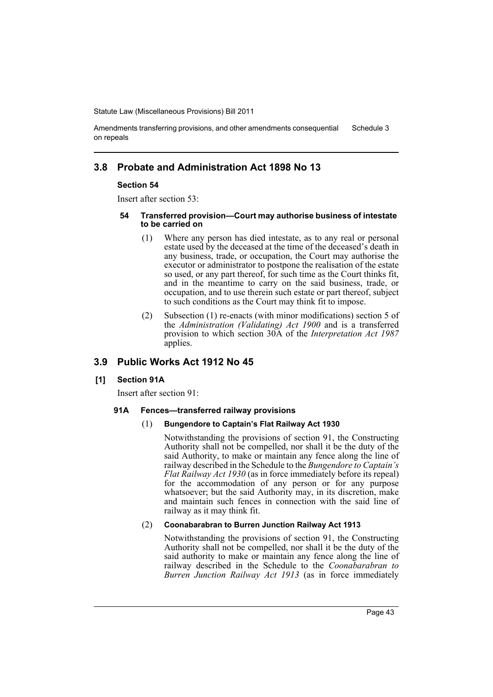Amendments transferring provisions, and other amendments consequential on repeals Schedule 3

# **3.8 Probate and Administration Act 1898 No 13**

#### **Section 54**

Insert after section 53:

- **54 Transferred provision—Court may authorise business of intestate to be carried on**
	- (1) Where any person has died intestate, as to any real or personal estate used by the deceased at the time of the deceased's death in any business, trade, or occupation, the Court may authorise the executor or administrator to postpone the realisation of the estate so used, or any part thereof, for such time as the Court thinks fit, and in the meantime to carry on the said business, trade, or occupation, and to use therein such estate or part thereof, subject to such conditions as the Court may think fit to impose.
	- (2) Subsection (1) re-enacts (with minor modifications) section 5 of the *Administration (Validating) Act 1900* and is a transferred provision to which section 30A of the *Interpretation Act 1987* applies.

# **3.9 Public Works Act 1912 No 45**

#### **[1] Section 91A**

Insert after section 91:

#### **91A Fences—transferred railway provisions**

### (1) **Bungendore to Captain's Flat Railway Act 1930**

Notwithstanding the provisions of section 91, the Constructing Authority shall not be compelled, nor shall it be the duty of the said Authority, to make or maintain any fence along the line of railway described in the Schedule to the *Bungendore to Captain's Flat Railway Act 1930* (as in force immediately before its repeal) for the accommodation of any person or for any purpose whatsoever; but the said Authority may, in its discretion, make and maintain such fences in connection with the said line of railway as it may think fit.

#### (2) **Coonabarabran to Burren Junction Railway Act 1913**

Notwithstanding the provisions of section 91, the Constructing Authority shall not be compelled, nor shall it be the duty of the said authority to make or maintain any fence along the line of railway described in the Schedule to the *Coonabarabran to Burren Junction Railway Act 1913* (as in force immediately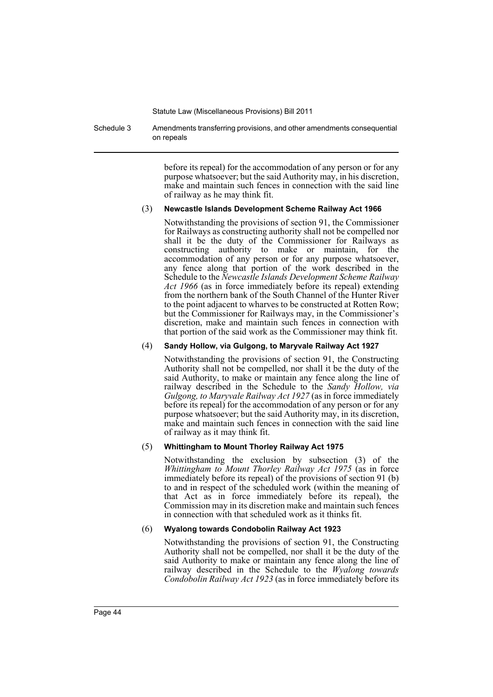Schedule 3 Amendments transferring provisions, and other amendments consequential on repeals

> before its repeal) for the accommodation of any person or for any purpose whatsoever; but the said Authority may, in his discretion, make and maintain such fences in connection with the said line of railway as he may think fit.

#### (3) **Newcastle Islands Development Scheme Railway Act 1966**

Notwithstanding the provisions of section 91, the Commissioner for Railways as constructing authority shall not be compelled nor shall it be the duty of the Commissioner for Railways as constructing authority to make or maintain, for the accommodation of any person or for any purpose whatsoever, any fence along that portion of the work described in the Schedule to the *Newcastle Islands Development Scheme Railway Act 1966* (as in force immediately before its repeal) extending from the northern bank of the South Channel of the Hunter River to the point adjacent to wharves to be constructed at Rotten Row; but the Commissioner for Railways may, in the Commissioner's discretion, make and maintain such fences in connection with that portion of the said work as the Commissioner may think fit.

#### (4) **Sandy Hollow, via Gulgong, to Maryvale Railway Act 1927**

Notwithstanding the provisions of section 91, the Constructing Authority shall not be compelled, nor shall it be the duty of the said Authority, to make or maintain any fence along the line of railway described in the Schedule to the *Sandy Hollow, via Gulgong, to Maryvale Railway Act 1927* (as in force immediately before its repeal) for the accommodation of any person or for any purpose whatsoever; but the said Authority may, in its discretion, make and maintain such fences in connection with the said line of railway as it may think fit.

#### (5) **Whittingham to Mount Thorley Railway Act 1975**

Notwithstanding the exclusion by subsection (3) of the *Whittingham to Mount Thorley Railway Act 1975* (as in force immediately before its repeal) of the provisions of section 91 (b) to and in respect of the scheduled work (within the meaning of that Act as in force immediately before its repeal), the Commission may in its discretion make and maintain such fences in connection with that scheduled work as it thinks fit.

#### (6) **Wyalong towards Condobolin Railway Act 1923**

Notwithstanding the provisions of section 91, the Constructing Authority shall not be compelled, nor shall it be the duty of the said Authority to make or maintain any fence along the line of railway described in the Schedule to the *Wyalong towards Condobolin Railway Act 1923* (as in force immediately before its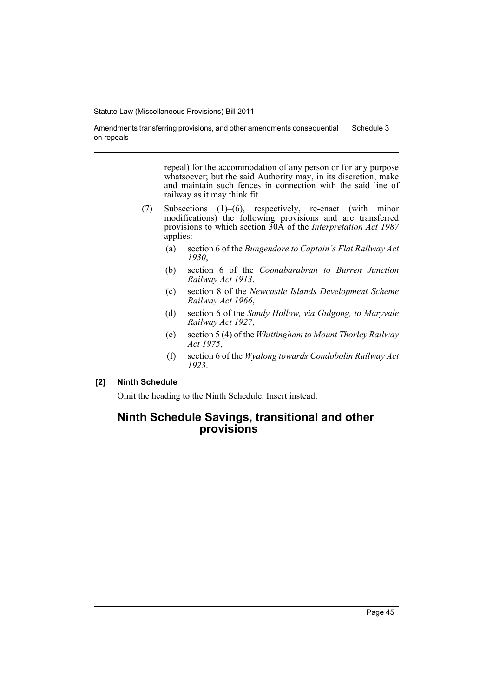Amendments transferring provisions, and other amendments consequential on repeals Schedule 3

> repeal) for the accommodation of any person or for any purpose whatsoever; but the said Authority may, in its discretion, make and maintain such fences in connection with the said line of railway as it may think fit.

- (7) Subsections (1)–(6), respectively, re-enact (with minor modifications) the following provisions and are transferred provisions to which section 30A of the *Interpretation Act 1987* applies:
	- (a) section 6 of the *Bungendore to Captain's Flat Railway Act 1930*,
	- (b) section 6 of the *Coonabarabran to Burren Junction Railway Act 1913*,
	- (c) section 8 of the *Newcastle Islands Development Scheme Railway Act 1966*,
	- (d) section 6 of the *Sandy Hollow, via Gulgong, to Maryvale Railway Act 1927*,
	- (e) section 5 (4) of the *Whittingham to Mount Thorley Railway Act 1975*,
	- (f) section 6 of the *Wyalong towards Condobolin Railway Act 1923*.

# **[2] Ninth Schedule**

Omit the heading to the Ninth Schedule. Insert instead:

# **Ninth Schedule Savings, transitional and other provisions**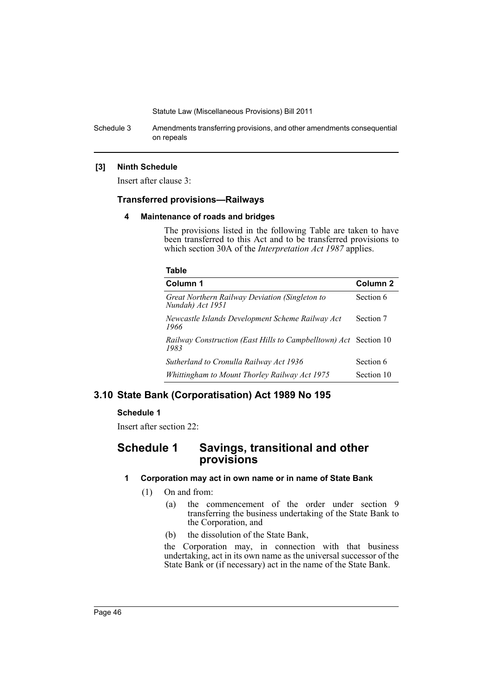Schedule 3 Amendments transferring provisions, and other amendments consequential on repeals

#### **[3] Ninth Schedule**

Insert after clause 3:

# **Transferred provisions—Railways**

#### **4 Maintenance of roads and bridges**

The provisions listed in the following Table are taken to have been transferred to this Act and to be transferred provisions to which section 30A of the *Interpretation Act 1987* applies.

#### **Table**

| Column 1                                                                 | Column <sub>2</sub> |
|--------------------------------------------------------------------------|---------------------|
| Great Northern Railway Deviation (Singleton to<br>Nundah) Act 1951       | Section 6           |
| Newcastle Islands Development Scheme Railway Act<br>1966                 | Section 7           |
| Railway Construction (East Hills to Campbelltown) Act Section 10<br>1983 |                     |
| Sutherland to Cronulla Railway Act 1936                                  | Section 6           |
| Whittingham to Mount Thorley Railway Act 1975                            | Section 10          |

# **3.10 State Bank (Corporatisation) Act 1989 No 195**

#### **Schedule 1**

Insert after section 22:

# **Schedule 1 Savings, transitional and other provisions**

## **1 Corporation may act in own name or in name of State Bank**

- (1) On and from:
	- (a) the commencement of the order under section 9 transferring the business undertaking of the State Bank to the Corporation, and
	- (b) the dissolution of the State Bank,

the Corporation may, in connection with that business undertaking, act in its own name as the universal successor of the State Bank or (if necessary) act in the name of the State Bank.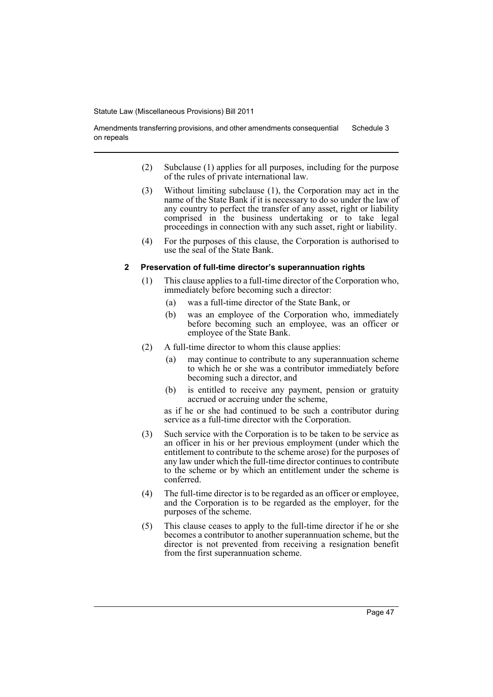Amendments transferring provisions, and other amendments consequential on repeals Schedule 3

- (2) Subclause (1) applies for all purposes, including for the purpose of the rules of private international law.
- (3) Without limiting subclause (1), the Corporation may act in the name of the State Bank if it is necessary to do so under the law of any country to perfect the transfer of any asset, right or liability comprised in the business undertaking or to take legal proceedings in connection with any such asset, right or liability.
- (4) For the purposes of this clause, the Corporation is authorised to use the seal of the State Bank.

#### **2 Preservation of full-time director's superannuation rights**

- (1) This clause applies to a full-time director of the Corporation who, immediately before becoming such a director:
	- (a) was a full-time director of the State Bank, or
	- (b) was an employee of the Corporation who, immediately before becoming such an employee, was an officer or employee of the State Bank.
- (2) A full-time director to whom this clause applies:
	- (a) may continue to contribute to any superannuation scheme to which he or she was a contributor immediately before becoming such a director, and
	- (b) is entitled to receive any payment, pension or gratuity accrued or accruing under the scheme,

as if he or she had continued to be such a contributor during service as a full-time director with the Corporation.

- (3) Such service with the Corporation is to be taken to be service as an officer in his or her previous employment (under which the entitlement to contribute to the scheme arose) for the purposes of any law under which the full-time director continues to contribute to the scheme or by which an entitlement under the scheme is conferred.
- (4) The full-time director is to be regarded as an officer or employee, and the Corporation is to be regarded as the employer, for the purposes of the scheme.
- (5) This clause ceases to apply to the full-time director if he or she becomes a contributor to another superannuation scheme, but the director is not prevented from receiving a resignation benefit from the first superannuation scheme.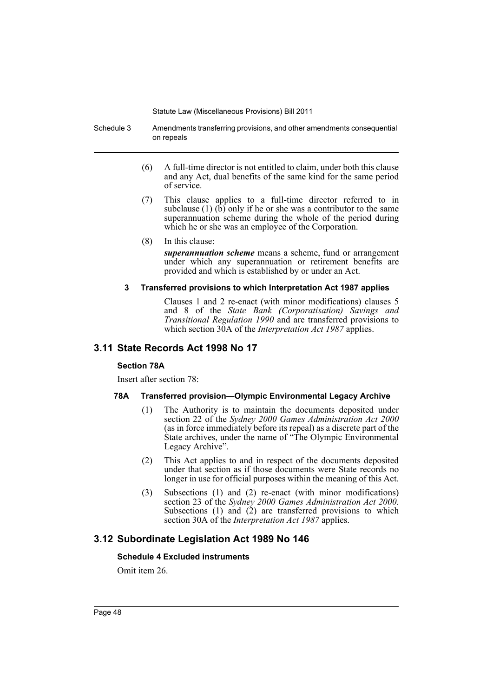Schedule 3 Amendments transferring provisions, and other amendments consequential on repeals

- (6) A full-time director is not entitled to claim, under both this clause and any Act, dual benefits of the same kind for the same period of service.
- (7) This clause applies to a full-time director referred to in subclause (1)  $(\hat{b})$  only if he or she was a contributor to the same superannuation scheme during the whole of the period during which he or she was an employee of the Corporation.
- (8) In this clause:

*superannuation scheme* means a scheme, fund or arrangement under which any superannuation or retirement benefits are provided and which is established by or under an Act.

### **3 Transferred provisions to which Interpretation Act 1987 applies**

Clauses 1 and 2 re-enact (with minor modifications) clauses 5 and 8 of the *State Bank (Corporatisation) Savings and Transitional Regulation 1990* and are transferred provisions to which section 30A of the *Interpretation Act 1987* applies.

# **3.11 State Records Act 1998 No 17**

## **Section 78A**

Insert after section 78:

## **78A Transferred provision—Olympic Environmental Legacy Archive**

- (1) The Authority is to maintain the documents deposited under section 22 of the *Sydney 2000 Games Administration Act 2000* (as in force immediately before its repeal) as a discrete part of the State archives, under the name of "The Olympic Environmental Legacy Archive".
- (2) This Act applies to and in respect of the documents deposited under that section as if those documents were State records no longer in use for official purposes within the meaning of this Act.
- (3) Subsections (1) and (2) re-enact (with minor modifications) section 23 of the *Sydney 2000 Games Administration Act 2000*. Subsections  $(1)$  and  $(2)$  are transferred provisions to which section 30A of the *Interpretation Act 1987* applies.

# **3.12 Subordinate Legislation Act 1989 No 146**

## **Schedule 4 Excluded instruments**

Omit item 26.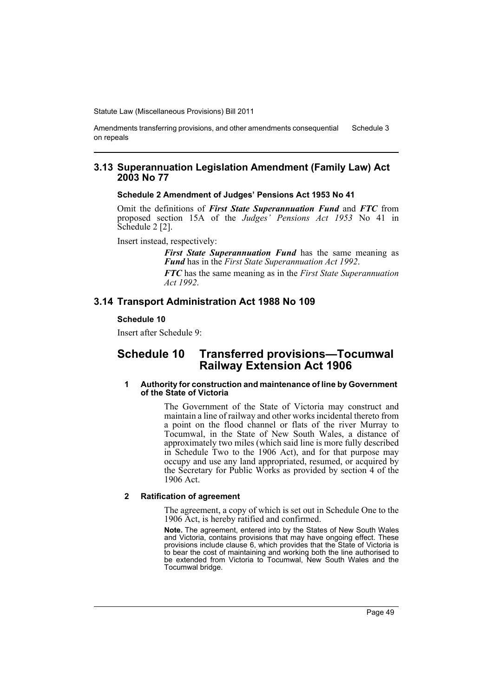Amendments transferring provisions, and other amendments consequential on repeals Schedule 3

## **3.13 Superannuation Legislation Amendment (Family Law) Act 2003 No 77**

#### **Schedule 2 Amendment of Judges' Pensions Act 1953 No 41**

Omit the definitions of *First State Superannuation Fund* and *FTC* from proposed section 15A of the *Judges' Pensions Act 1953* No 41 in Schedule 2 [2].

Insert instead, respectively:

*First State Superannuation Fund* has the same meaning as *Fund* has in the *First State Superannuation Act 1992*.

*FTC* has the same meaning as in the *First State Superannuation Act 1992*.

## **3.14 Transport Administration Act 1988 No 109**

### **Schedule 10**

Insert after Schedule 9:

# **Schedule 10 Transferred provisions—Tocumwal Railway Extension Act 1906**

#### **1 Authority for construction and maintenance of line by Government of the State of Victoria**

The Government of the State of Victoria may construct and maintain a line of railway and other works incidental thereto from a point on the flood channel or flats of the river Murray to Tocumwal, in the State of New South Wales, a distance of approximately two miles (which said line is more fully described in Schedule Two to the 1906 Act), and for that purpose may occupy and use any land appropriated, resumed, or acquired by the Secretary for Public Works as provided by section 4 of the 1906 Act.

#### **2 Ratification of agreement**

The agreement, a copy of which is set out in Schedule One to the 1906 Act, is hereby ratified and confirmed.

**Note.** The agreement, entered into by the States of New South Wales and Victoria, contains provisions that may have ongoing effect. These provisions include clause 6, which provides that the State of Victoria is to bear the cost of maintaining and working both the line authorised to be extended from Victoria to Tocumwal, New South Wales and the Tocumwal bridge.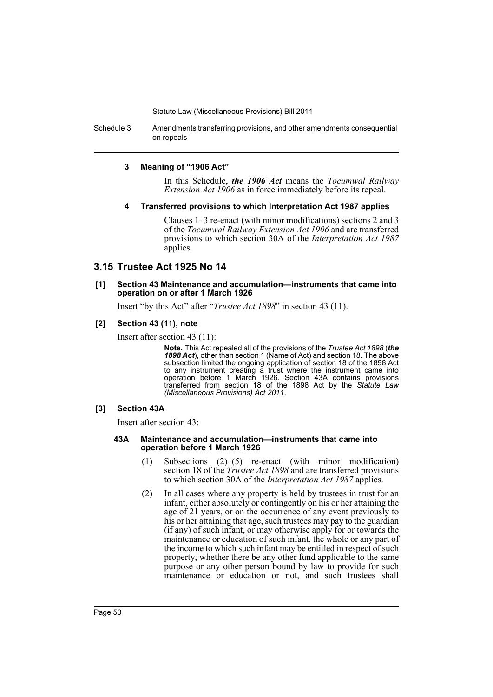Schedule 3 Amendments transferring provisions, and other amendments consequential on repeals

#### **3 Meaning of "1906 Act"**

In this Schedule, *the 1906 Act* means the *Tocumwal Railway Extension Act 1906* as in force immediately before its repeal.

### **4 Transferred provisions to which Interpretation Act 1987 applies**

Clauses 1–3 re-enact (with minor modifications) sections 2 and 3 of the *Tocumwal Railway Extension Act 1906* and are transferred provisions to which section 30A of the *Interpretation Act 1987* applies.

## **3.15 Trustee Act 1925 No 14**

#### **[1] Section 43 Maintenance and accumulation—instruments that came into operation on or after 1 March 1926**

Insert "by this Act" after "*Trustee Act 1898*" in section 43 (11).

## **[2] Section 43 (11), note**

Insert after section 43 (11):

**Note.** This Act repealed all of the provisions of the *Trustee Act 1898* (*the 1898 Act*), other than section 1 (Name of Act) and section 18. The above subsection limited the ongoing application of section 18 of the 1898 Act to any instrument creating a trust where the instrument came into operation before 1 March 1926. Section 43A contains provisions transferred from section 18 of the 1898 Act by the *Statute Law (Miscellaneous Provisions) Act 2011*.

#### **[3] Section 43A**

Insert after section 43:

#### **43A Maintenance and accumulation—instruments that came into operation before 1 March 1926**

- (1) Subsections (2)–(5) re-enact (with minor modification) section 18 of the *Trustee Act 1898* and are transferred provisions to which section 30A of the *Interpretation Act 1987* applies.
- (2) In all cases where any property is held by trustees in trust for an infant, either absolutely or contingently on his or her attaining the age of 21 years, or on the occurrence of any event previously to his or her attaining that age, such trustees may pay to the guardian (if any) of such infant, or may otherwise apply for or towards the maintenance or education of such infant, the whole or any part of the income to which such infant may be entitled in respect of such property, whether there be any other fund applicable to the same purpose or any other person bound by law to provide for such maintenance or education or not, and such trustees shall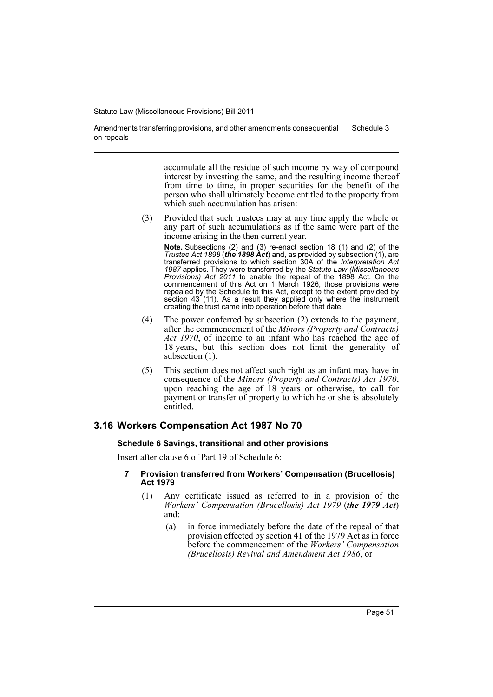Amendments transferring provisions, and other amendments consequential on repeals Schedule 3

> accumulate all the residue of such income by way of compound interest by investing the same, and the resulting income thereof from time to time, in proper securities for the benefit of the person who shall ultimately become entitled to the property from which such accumulation has arisen:

(3) Provided that such trustees may at any time apply the whole or any part of such accumulations as if the same were part of the income arising in the then current year.

**Note.** Subsections (2) and (3) re-enact section 18 (1) and (2) of the *Trustee Act 1898* (*the 1898 Act*) and, as provided by subsection (1), are transferred provisions to which section 30A of the *Interpretation Act 1987* applies. They were transferred by the *Statute Law (Miscellaneous Provisions) Act 2011* to enable the repeal of the 1898 Act. On the commencement of this Act on 1 March 1926, those provisions were repealed by the Schedule to this Act, except to the extent provided by section 43 (11). As a result they applied only where the instrument creating the trust came into operation before that date.

- (4) The power conferred by subsection (2) extends to the payment, after the commencement of the *Minors (Property and Contracts) Act 1970*, of income to an infant who has reached the age of 18 years, but this section does not limit the generality of subsection  $(1)$ .
- (5) This section does not affect such right as an infant may have in consequence of the *Minors (Property and Contracts) Act 1970*, upon reaching the age of 18 years or otherwise, to call for payment or transfer of property to which he or she is absolutely entitled.

## **3.16 Workers Compensation Act 1987 No 70**

#### **Schedule 6 Savings, transitional and other provisions**

Insert after clause 6 of Part 19 of Schedule 6:

- **7 Provision transferred from Workers' Compensation (Brucellosis) Act 1979**
	- (1) Any certificate issued as referred to in a provision of the *Workers' Compensation (Brucellosis) Act 1979* (*the 1979 Act*) and:
		- (a) in force immediately before the date of the repeal of that provision effected by section 41 of the 1979 Act as in force before the commencement of the *Workers' Compensation (Brucellosis) Revival and Amendment Act 1986*, or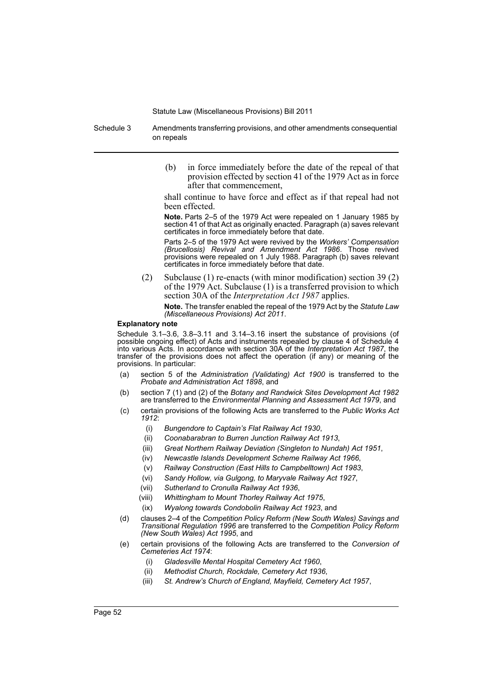Schedule 3 Amendments transferring provisions, and other amendments consequential on repeals

> (b) in force immediately before the date of the repeal of that provision effected by section 41 of the 1979 Act as in force after that commencement,

> shall continue to have force and effect as if that repeal had not been effected.

> **Note.** Parts 2–5 of the 1979 Act were repealed on 1 January 1985 by section 41 of that Act as originally enacted. Paragraph (a) saves relevant certificates in force immediately before that date.

> Parts 2–5 of the 1979 Act were revived by the *Workers' Compensation (Brucellosis) Revival and Amendment Act 1986*. Those revived provisions were repealed on 1 July 1988. Paragraph (b) saves relevant certificates in force immediately before that date.

(2) Subclause (1) re-enacts (with minor modification) section 39 (2) of the 1979 Act. Subclause (1) is a transferred provision to which section 30A of the *Interpretation Act 1987* applies.

**Note.** The transfer enabled the repeal of the 1979 Act by the *Statute Law (Miscellaneous Provisions) Act 2011*.

#### **Explanatory note**

Schedule 3.1–3.6, 3.8–3.11 and 3.14–3.16 insert the substance of provisions (of possible ongoing effect) of Acts and instruments repealed by clause 4 of Schedule 4 into various Acts. In accordance with section 30A of the *Interpretation Act 1987*, the transfer of the provisions does not affect the operation (if any) or meaning of the provisions. In particular:

- (a) section 5 of the *Administration (Validating) Act 1900* is transferred to the *Probate and Administration Act 1898*, and
- (b) section 7 (1) and (2) of the *Botany and Randwick Sites Development Act 1982* are transferred to the *Environmental Planning and Assessment Act 1979*, and
- (c) certain provisions of the following Acts are transferred to the *Public Works Act 1912*:
	- (i) *Bungendore to Captain's Flat Railway Act 1930*,
	- (ii) *Coonabarabran to Burren Junction Railway Act 1913*,
	- (iii) *Great Northern Railway Deviation (Singleton to Nundah) Act 1951*,
	- (iv) *Newcastle Islands Development Scheme Railway Act 1966*,
	- (v) *Railway Construction (East Hills to Campbelltown) Act 1983*,
	- (vi) *Sandy Hollow, via Gulgong, to Maryvale Railway Act 1927*,
	- (vii) *Sutherland to Cronulla Railway Act 1936*,
	- (viii) *Whittingham to Mount Thorley Railway Act 1975*,
	- (ix) *Wyalong towards Condobolin Railway Act 1923*, and
- (d) clauses 2–4 of the *Competition Policy Reform (New South Wales) Savings and Transitional Regulation 1996* are transferred to the *Competition Policy Reform (New South Wales) Act 1995*, and
- (e) certain provisions of the following Acts are transferred to the *Conversion of Cemeteries Act 1974*:
	- (i) *Gladesville Mental Hospital Cemetery Act 1960*,
	- (ii) *Methodist Church, Rockdale, Cemetery Act 1936*,
	- (iii) *St. Andrew's Church of England, Mayfield, Cemetery Act 1957*,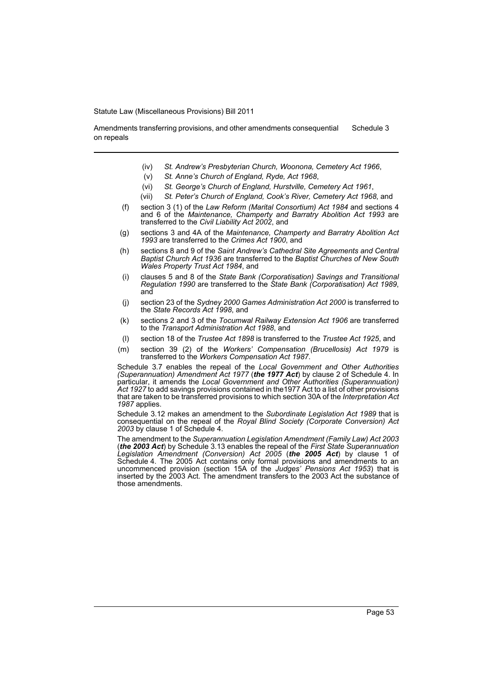Amendments transferring provisions, and other amendments consequential on repeals Schedule 3

- (iv) *St. Andrew's Presbyterian Church, Woonona, Cemetery Act 1966*,
- (v) *St. Anne's Church of England, Ryde, Act 1968*,
- (vi) *St. George's Church of England, Hurstville, Cemetery Act 1961*,
- (vii) *St. Peter's Church of England, Cook's River, Cemetery Act 1968*, and
- (f) section 3 (1) of the *Law Reform (Marital Consortium) Act 1984* and sections 4 and 6 of the *Maintenance, Champerty and Barratry Abolition Act 1993* are transferred to the *Civil Liability Act 2002*, and
- (g) sections 3 and 4A of the *Maintenance, Champerty and Barratry Abolition Act 1993* are transferred to the *Crimes Act 1900*, and
- (h) sections 8 and 9 of the *Saint Andrew's Cathedral Site Agreements and Central Baptist Church Act 1936* are transferred to the *Baptist Churches of New South Wales Property Trust Act 1984*, and
- (i) clauses 5 and 8 of the *State Bank (Corporatisation) Savings and Transitional Regulation 1990* are transferred to the *State Bank (Corporatisation) Act 1989*, and
- (j) section 23 of the *Sydney 2000 Games Administration Act 2000* is transferred to the *State Records Act 1998*, and
- (k) sections 2 and 3 of the *Tocumwal Railway Extension Act 1906* are transferred to the *Transport Administration Act 1988*, and
- (l) section 18 of the *Trustee Act 1898* is transferred to the *Trustee Act 1925*, and
- (m) section 39 (2) of the *Workers' Compensation (Brucellosis) Act 1979* is transferred to the *Workers Compensation Act 1987*.

Schedule 3.7 enables the repeal of the *Local Government and Other Authorities (Superannuation) Amendment Act 1977* (*the 1977 Act*) by clause 2 of Schedule 4. In particular, it amends the *Local Government and Other Authorities (Superannuation) Act 1927* to add savings provisions contained in the1977 Act to a list of other provisions that are taken to be transferred provisions to which section 30A of the *Interpretation Act 1987* applies.

Schedule 3.12 makes an amendment to the *Subordinate Legislation Act 1989* that is consequential on the repeal of the *Royal Blind Society (Corporate Conversion) Act 2003* by clause 1 of Schedule 4.

The amendment to the *Superannuation Legislation Amendment (Family Law) Act 2003* (*the 2003 Act*) by Schedule 3.13 enables the repeal of the *First State Superannuation Legislation Amendment (Conversion) Act 2005* (*the 2005 Act*) by clause 1 of Schedule 4. The 2005 Act contains only formal provisions and amendments to an uncommenced provision (section 15A of the *Judges' Pensions Act 1953*) that is inserted by the 2003 Act. The amendment transfers to the 2003 Act the substance of those amendments.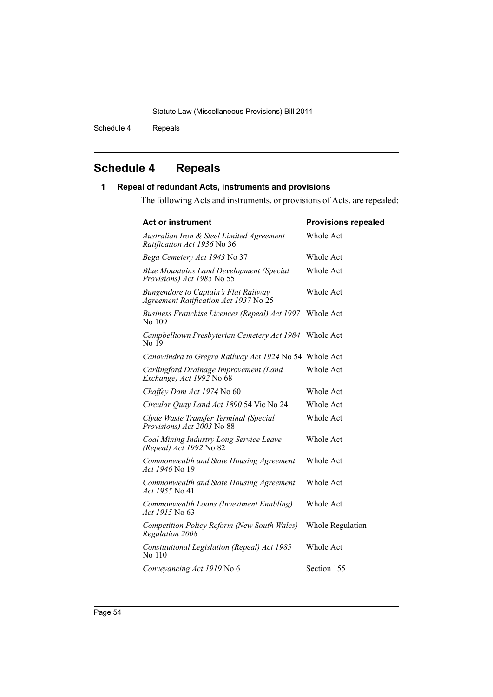Schedule 4 Repeals

# **Schedule 4 Repeals**

# **1 Repeal of redundant Acts, instruments and provisions**

The following Acts and instruments, or provisions of Acts, are repealed:

| <b>Act or instrument</b>                                                             | <b>Provisions repealed</b> |
|--------------------------------------------------------------------------------------|----------------------------|
| Australian Iron & Steel Limited Agreement<br><i>Ratification Act 1936</i> No 36      | Whole Act                  |
| Bega Cemetery Act 1943 No 37                                                         | Whole Act                  |
| <b>Blue Mountains Land Development (Special</b><br>Provisions) Act 1985 No 55        | Whole Act                  |
| <b>Bungendore to Captain's Flat Railway</b><br>Agreement Ratification Act 1937 No 25 | <b>Whole Act</b>           |
| <b>Business Franchise Licences (Repeal) Act 1997</b><br>No 109                       | Whole Act                  |
| Campbelltown Presbyterian Cemetery Act 1984<br>No 19                                 | Whole Act                  |
| Canowindra to Gregra Railway Act 1924 No 54 Whole Act                                |                            |
| Carlingford Drainage Improvement (Land<br>Exchange) Act 1992 No 68                   | Whole Act                  |
| Chaffey Dam Act 1974 No 60                                                           | Whole Act                  |
| Circular Quay Land Act 1890 54 Vic No 24                                             | Whole Act                  |
| Clyde Waste Transfer Terminal (Special<br>Provisions) Act 2003 No 88                 | Whole Act                  |
| Coal Mining Industry Long Service Leave<br>(Repeal) Act 1992 No 82                   | Whole Act                  |
| Commonwealth and State Housing Agreement<br><i>Act 1946</i> No 19                    | <b>Whole Act</b>           |
| Commonwealth and State Housing Agreement<br><i>Act 1955</i> No 41                    | Whole Act                  |
| Commonwealth Loans (Investment Enabling)<br><i>Act 1915</i> No 63                    | Whole Act                  |
| Competition Policy Reform (New South Wales)<br>Regulation 2008                       | Whole Regulation           |
| Constitutional Legislation (Repeal) Act 1985<br>No 110                               | Whole Act                  |
| Conveyancing Act 1919 No 6                                                           | Section 155                |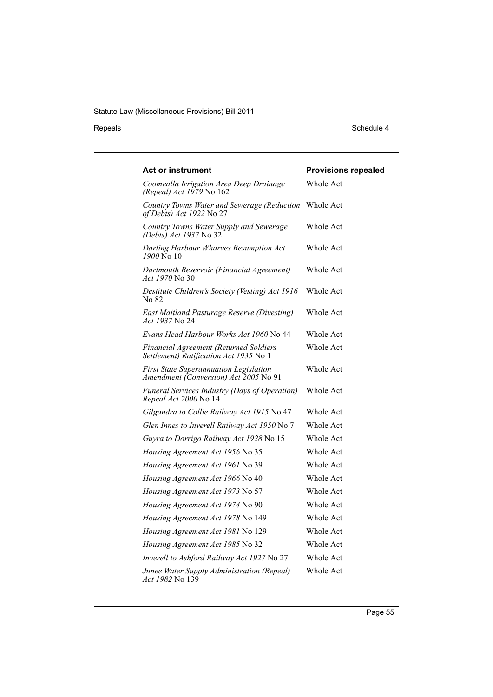Repeals Schedule 4

| <b>Act or instrument</b>                                                                | <b>Provisions repealed</b> |
|-----------------------------------------------------------------------------------------|----------------------------|
| Coomealla Irrigation Area Deep Drainage<br>(Repeal) Act 1979 No 162                     | Whole Act                  |
| Country Towns Water and Sewerage (Reduction<br>of Debts) Act 1922 No 27                 | Whole Act                  |
| Country Towns Water Supply and Sewerage<br>(Debts) Act 1937 No 32                       | Whole Act                  |
| Darling Harbour Wharves Resumption Act<br>1900 No 10                                    | Whole Act                  |
| Dartmouth Reservoir (Financial Agreement)<br>Act 1970 No 30                             | Whole Act                  |
| Destitute Children's Society (Vesting) Act 1916<br>No 82                                | Whole Act                  |
| East Maitland Pasturage Reserve (Divesting)<br>Act 1937 No 24                           | Whole Act                  |
| Evans Head Harbour Works Act 1960 No 44                                                 | Whole Act                  |
| <b>Financial Agreement (Returned Soldiers</b><br>Settlement) Ratification Act 1935 No 1 | Whole Act                  |
| <b>First State Superannuation Legislation</b><br>Amendment (Conversion) Act 2005 No 91  | Whole Act                  |
| Funeral Services Industry (Days of Operation)<br>Repeal Act 2000 No 14                  | Whole Act                  |
| Gilgandra to Collie Railway Act 1915 No 47                                              | Whole Act                  |
| Glen Innes to Inverell Railway Act 1950 No 7                                            | Whole Act                  |
| Guyra to Dorrigo Railway Act 1928 No 15                                                 | Whole Act                  |
| Housing Agreement Act 1956 No 35                                                        | Whole Act                  |
| Housing Agreement Act 1961 No 39                                                        | Whole Act                  |
| Housing Agreement Act 1966 No 40                                                        | Whole Act                  |
| Housing Agreement Act 1973 No 57                                                        | Whole Act                  |
| Housing Agreement Act 1974 No 90                                                        | Whole Act                  |
| Housing Agreement Act 1978 No 149                                                       | Whole Act                  |
| Housing Agreement Act 1981 No 129                                                       | Whole Act                  |
| Housing Agreement Act 1985 No 32                                                        | Whole Act                  |
| Inverell to Ashford Railway Act 1927 No 27                                              | Whole Act                  |
| Junee Water Supply Administration (Repeal)<br>Act 1982 No 139                           | Whole Act                  |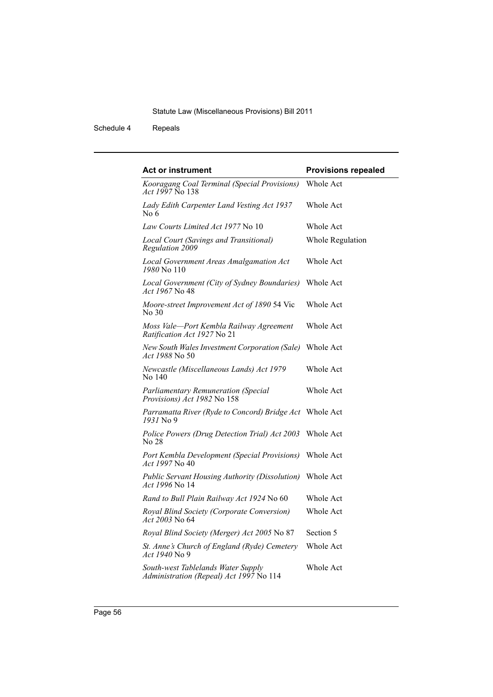Schedule 4 Repeals

| <b>Act or instrument</b>                                                      | <b>Provisions repealed</b> |
|-------------------------------------------------------------------------------|----------------------------|
| Kooragang Coal Terminal (Special Provisions)<br>Act 1997 No 138               | <b>Whole Act</b>           |
| Lady Edith Carpenter Land Vesting Act 1937<br>No 6                            | <b>Whole Act</b>           |
| Law Courts Limited Act 1977 No 10                                             | Whole Act                  |
| Local Court (Savings and Transitional)<br>Regulation 2009                     | Whole Regulation           |
| Local Government Areas Amalgamation Act<br>1980 No 110                        | Whole Act                  |
| Local Government (City of Sydney Boundaries)<br>Act 1967 No 48                | <b>Whole Act</b>           |
| Moore-street Improvement Act of 1890 54 Vic<br>No 30                          | <b>Whole Act</b>           |
| Moss Vale-Port Kembla Railway Agreement<br>Ratification Act 1927 No 21        | Whole Act                  |
| New South Wales Investment Corporation (Sale)<br><i>Act 1988</i> No 50        | Whole Act                  |
| Newcastle (Miscellaneous Lands) Act 1979<br>No 140                            | Whole Act                  |
| <b>Parliamentary Remuneration (Special</b><br>Provisions) Act 1982 No 158     | Whole Act                  |
| Parramatta River (Ryde to Concord) Bridge Act Whole Act<br>1931 No 9          |                            |
| Police Powers (Drug Detection Trial) Act 2003<br>No 28                        | <b>Whole Act</b>           |
| Port Kembla Development (Special Provisions)<br><i>Act 1997</i> No 40         | Whole Act                  |
| <b>Public Servant Housing Authority (Dissolution)</b><br>Act 1996 No 14       | Whole Act                  |
| Rand to Bull Plain Railway Act 1924 No 60                                     | Whole Act                  |
| Royal Blind Society (Corporate Conversion)<br>Act 2003 No 64                  | Whole Act                  |
| Royal Blind Society (Merger) Act 2005 No 87                                   | Section 5                  |
| St. Anne's Church of England (Ryde) Cemetery<br><i>Act 1940</i> No 9          | Whole Act                  |
| South-west Tablelands Water Supply<br>Administration (Repeal) Act 1997 No 114 | Whole Act                  |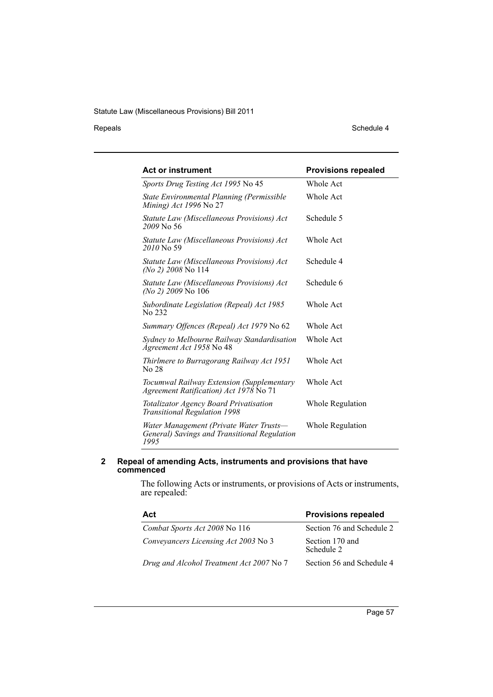### Repeals Schedule 4

| <b>Act or instrument</b>                                                                        | <b>Provisions repealed</b> |
|-------------------------------------------------------------------------------------------------|----------------------------|
| Sports Drug Testing Act 1995 No 45                                                              | Whole Act                  |
| State Environmental Planning (Permissible<br><i>Mining</i> ) <i>Act 1996</i> No 27              | Whole Act                  |
| Statute Law (Miscellaneous Provisions) Act<br>2009 No 56                                        | Schedule 5                 |
| Statute Law (Miscellaneous Provisions) Act<br>2010 No 59                                        | <b>Whole Act</b>           |
| Statute Law (Miscellaneous Provisions) Act<br><i>(No 2) 2008</i> No 114                         | Schedule 4                 |
| Statute Law (Miscellaneous Provisions) Act<br><i>(No 2) 2009</i> No 106                         | Schedule 6                 |
| Subordinate Legislation (Repeal) Act 1985<br>No 232                                             | <b>Whole Act</b>           |
| Summary Offences (Repeal) Act 1979 No 62                                                        | Whole Act                  |
| Sydney to Melbourne Railway Standardisation<br>Agreement Act 1958 No 48                         | Whole Act                  |
| Thirlmere to Burragorang Railway Act 1951<br>No 28                                              | <b>Whole Act</b>           |
| Tocumwal Railway Extension (Supplementary<br>Agreement Ratification) Act 1978 No 71             | <b>Whole Act</b>           |
| Totalizator Agency Board Privatisation<br><b>Transitional Regulation 1998</b>                   | Whole Regulation           |
| Water Management (Private Water Trusts-<br>General) Savings and Transitional Regulation<br>1995 | Whole Regulation           |

#### **2 Repeal of amending Acts, instruments and provisions that have commenced**

The following Acts or instruments, or provisions of Acts or instruments, are repealed:

| Act                                      | <b>Provisions repealed</b>    |
|------------------------------------------|-------------------------------|
| Combat Sports Act 2008 No 116            | Section 76 and Schedule 2     |
| Conveyancers Licensing Act 2003 No 3     | Section 170 and<br>Schedule 2 |
| Drug and Alcohol Treatment Act 2007 No 7 | Section 56 and Schedule 4     |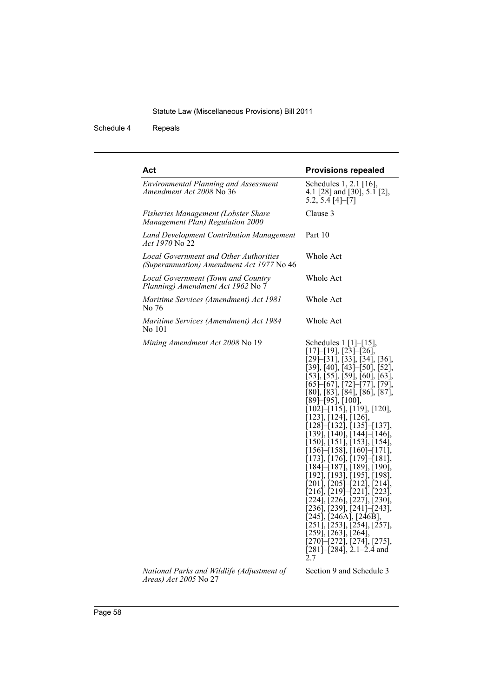Schedule 4 Repeals

| <b>Provisions repealed</b>                                                                                                                                                                                                                                                                                                                                                                                                                                                                                                                                                                                                                                                                                                                                                                                                                                                                                                                                                                                                |
|---------------------------------------------------------------------------------------------------------------------------------------------------------------------------------------------------------------------------------------------------------------------------------------------------------------------------------------------------------------------------------------------------------------------------------------------------------------------------------------------------------------------------------------------------------------------------------------------------------------------------------------------------------------------------------------------------------------------------------------------------------------------------------------------------------------------------------------------------------------------------------------------------------------------------------------------------------------------------------------------------------------------------|
| Schedules 1, 2.1 [16],<br>4.1 [28] and [30], 5.1 [2],<br>$5.2, 5.4 \, [4]–[7]$                                                                                                                                                                                                                                                                                                                                                                                                                                                                                                                                                                                                                                                                                                                                                                                                                                                                                                                                            |
| Clause 3                                                                                                                                                                                                                                                                                                                                                                                                                                                                                                                                                                                                                                                                                                                                                                                                                                                                                                                                                                                                                  |
| Part 10                                                                                                                                                                                                                                                                                                                                                                                                                                                                                                                                                                                                                                                                                                                                                                                                                                                                                                                                                                                                                   |
| Whole Act                                                                                                                                                                                                                                                                                                                                                                                                                                                                                                                                                                                                                                                                                                                                                                                                                                                                                                                                                                                                                 |
| Whole Act                                                                                                                                                                                                                                                                                                                                                                                                                                                                                                                                                                                                                                                                                                                                                                                                                                                                                                                                                                                                                 |
| Whole Act                                                                                                                                                                                                                                                                                                                                                                                                                                                                                                                                                                                                                                                                                                                                                                                                                                                                                                                                                                                                                 |
| Whole Act                                                                                                                                                                                                                                                                                                                                                                                                                                                                                                                                                                                                                                                                                                                                                                                                                                                                                                                                                                                                                 |
| Schedules 1 [1]–[15],<br>$[17]$ - $[19]$ , $[23]$ - $[26]$ ,<br>$[29]$ - $[31]$ , $[33]$ , $[34]$ , $[36]$ ,<br>[39], [40], [43]–[50], [52],<br>$[53]$ , $[55]$ , $[59]$ , $[60]$ , $[63]$ ,<br>$\left[ 65 \right]$ - $\left[ 67 \right]$ , $\left[ 72 \right]$ - $\left[ 77 \right]$ , $\left[ 79 \right]$ ,<br>[80], [83], [84], [86], [87],<br>[89]–[95], [100],<br>[102]–[115], [119], [120],<br>[123], [124], [126],<br>$[128]$ - $[132]$ , $[135]$ - $[137]$ ,<br>[139], [140], [144]–[146],<br>[150], [151], [153], [154],<br>[156]–[158], [160]–[171],<br>[173], [176], [179]–[181],<br>[184]–[187], [189], [190],<br>[192], [193], [195], [198],<br>$\left[201\right], \left[205\right]$ $\left[212\right]$ , $\left[214\right]$ ,<br>$[216]$ , $[219]$ – $[221]$ , $[223]$ ,<br>[224], [226], [227], [230],<br>$[236]$ , $[239]$ , $[241]$ – $[243]$ ,<br>[245], [246A], [246B],<br>[251], [253], [254], [257],<br>[259], [263], [264],<br>[270]–[272], [274], [275],<br>$[281]$ - $[284]$ , 2.1-2.4 and<br>2.7 |
|                                                                                                                                                                                                                                                                                                                                                                                                                                                                                                                                                                                                                                                                                                                                                                                                                                                                                                                                                                                                                           |

*National Parks and Wildlife (Adjustment of Areas) Act 2005* No 27

Section 9 and Schedule 3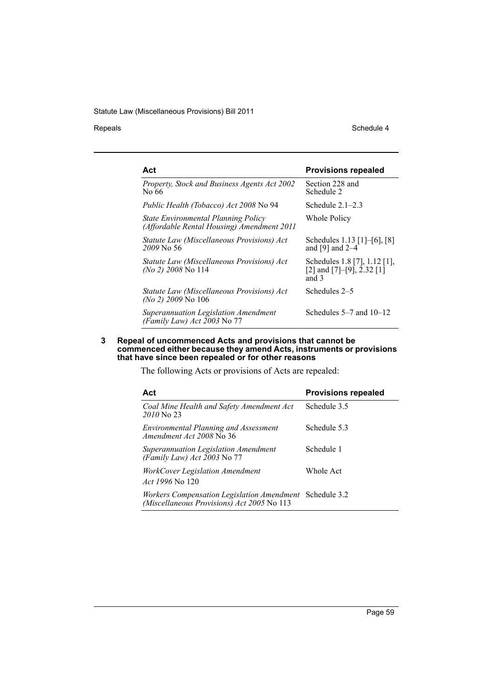Repeals Schedule 4

| Act                                                                               | <b>Provisions repealed</b>                                            |
|-----------------------------------------------------------------------------------|-----------------------------------------------------------------------|
| Property, Stock and Business Agents Act 2002<br>No 66                             | Section 228 and<br>Schedule 2                                         |
| <i>Public Health (Tobacco) Act 2008</i> No 94                                     | Schedule $2.1-2.3$                                                    |
| State Environmental Planning Policy<br>(Affordable Rental Housing) Amendment 2011 | Whole Policy                                                          |
| Statute Law (Miscellaneous Provisions) Act<br>$2009$ No 56                        | Schedules 1.13 [1]-[6], [8]<br>and $[9]$ and $2-4$                    |
| Statute Law (Miscellaneous Provisions) Act<br>$(No 2)$ 2008 No 114                | Schedules 1.8 [7], 1.12 [1],<br>[2] and $[7]-[9]$ , 2.32 [1]<br>and 3 |
| Statute Law (Miscellaneous Provisions) Act<br>(No 2) 2009 No 106                  | Schedules 2–5                                                         |
| Superannuation Legislation Amendment<br>(Family Law) Act 2003 No 77               | Schedules $5-7$ and $10-12$                                           |

#### **3 Repeal of uncommenced Acts and provisions that cannot be commenced either because they amend Acts, instruments or provisions that have since been repealed or for other reasons**

The following Acts or provisions of Acts are repealed:

| Act                                                                                                          | <b>Provisions repealed</b> |
|--------------------------------------------------------------------------------------------------------------|----------------------------|
| Coal Mine Health and Safety Amendment Act<br>2010 No 23                                                      | Schedule 3.5               |
| <b>Environmental Planning and Assessment</b><br>Amendment Act 2008 No 36                                     | Schedule 5.3               |
| Superannuation Legislation Amendment<br>(Family Law) Act $2003$ No 77                                        | Schedule 1                 |
| WorkCover Legislation Amendment<br><i>Act 1996</i> No 120                                                    | Whole Act                  |
| <b>Workers Compensation Legislation Amendment Schedule 3.2</b><br>(Miscellaneous Provisions) Act 2005 No 113 |                            |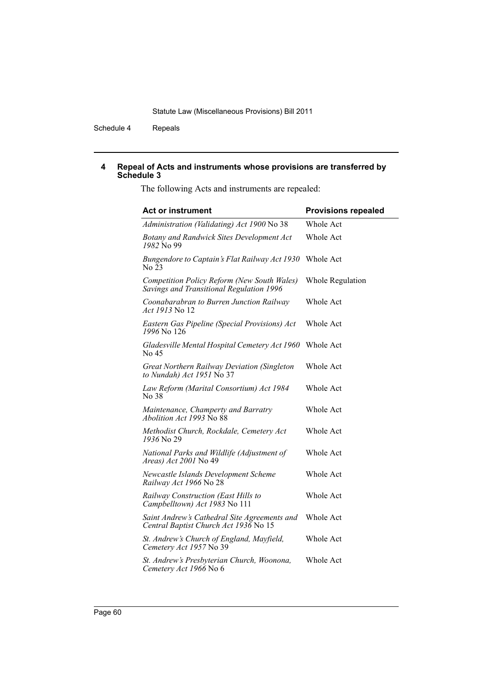Schedule 4 Repeals

#### **4 Repeal of Acts and instruments whose provisions are transferred by Schedule 3**

The following Acts and instruments are repealed:

| <b>Act or instrument</b>                                                                | <b>Provisions repealed</b> |
|-----------------------------------------------------------------------------------------|----------------------------|
| Administration (Validating) Act 1900 No 38                                              | Whole Act                  |
| <b>Botany and Randwick Sites Development Act</b><br>1982 No 99                          | Whole Act                  |
| Bungendore to Captain's Flat Railway Act 1930<br>No 23                                  | <b>Whole Act</b>           |
| Competition Policy Reform (New South Wales)<br>Savings and Transitional Regulation 1996 | <b>Whole Regulation</b>    |
| Coonabarabran to Burren Junction Railway<br><i>Act 1913</i> No 12                       | Whole Act                  |
| Eastern Gas Pipeline (Special Provisions) Act<br>1996 No 126                            | Whole Act                  |
| Gladesville Mental Hospital Cemetery Act 1960<br>No 45                                  | Whole Act                  |
| Great Northern Railway Deviation (Singleton<br>to Nundah) Act 1951 No 37                | Whole Act                  |
| Law Reform (Marital Consortium) Act 1984<br>No 38                                       | Whole Act                  |
| Maintenance, Champerty and Barratry<br><i>Abolition Act 1993</i> No 88                  | Whole Act                  |
| Methodist Church, Rockdale, Cemetery Act<br>1936 No 29                                  | Whole Act                  |
| National Parks and Wildlife (Adjustment of<br>Areas) Act 2001 No 49                     | Whole Act                  |
| Newcastle Islands Development Scheme<br>Railway Act 1966 No 28                          | Whole Act                  |
| Railway Construction (East Hills to<br>Campbelltown) Act 1983 No 111                    | Whole Act                  |
| Saint Andrew's Cathedral Site Agreements and<br>Central Baptist Church Act 1936 No 15   | <b>Whole Act</b>           |
| St. Andrew's Church of England, Mayfield,<br>Cemetery Act 1957 No 39                    | Whole Act                  |
| St. Andrew's Presbyterian Church, Woonona,<br>Cemetery Act 1966 No 6                    | Whole Act                  |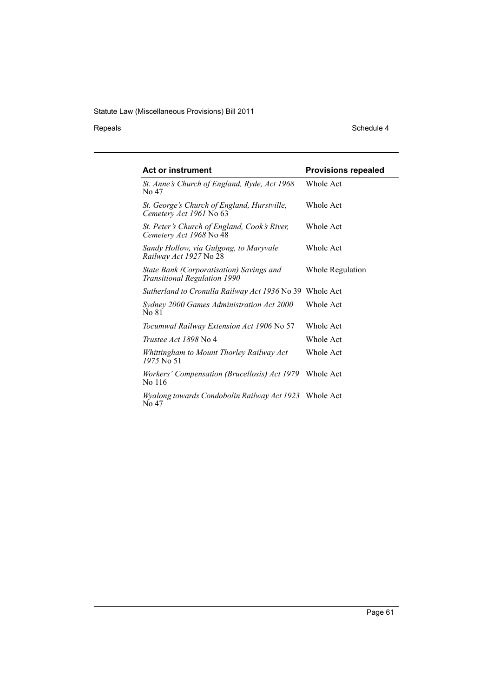Repeals Schedule 4

| <b>Act or instrument</b>                                                 | <b>Provisions repealed</b> |
|--------------------------------------------------------------------------|----------------------------|
| St. Anne's Church of England, Ryde, Act 1968<br>No 47                    | Whole Act                  |
| St. George's Church of England, Hurstville,<br>Cemetery Act 1961 No 63   | Whole Act                  |
| St. Peter's Church of England, Cook's River,<br>Cemetery Act 1968 No 48  | Whole Act                  |
| Sandy Hollow, via Gulgong, to Maryvale<br>Railway Act 1927 No 28         | Whole Act                  |
| State Bank (Corporatisation) Savings and<br>Transitional Regulation 1990 | Whole Regulation           |
| Sutherland to Cronulla Railway Act 1936 No 39 Whole Act                  |                            |
| Sydney 2000 Games Administration Act 2000<br>No 81                       | Whole Act                  |
| Tocumwal Railway Extension Act 1906 No 57                                | Whole Act                  |
| <i>Trustee Act 1898</i> No 4                                             | Whole Act                  |
| Whittingham to Mount Thorley Railway Act<br>1975 No 51                   | Whole Act                  |
| Workers' Compensation (Brucellosis) Act 1979<br>No 116                   | Whole Act                  |
| <i>Wyalong towards Condobolin Railway Act 1923</i> Whole Act<br>No 47    |                            |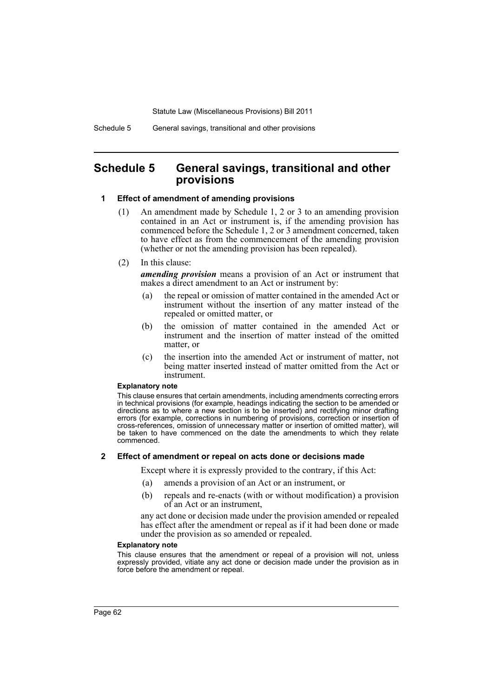# **Schedule 5 General savings, transitional and other provisions**

#### **1 Effect of amendment of amending provisions**

- (1) An amendment made by Schedule 1, 2 or 3 to an amending provision contained in an Act or instrument is, if the amending provision has commenced before the Schedule 1, 2 or 3 amendment concerned, taken to have effect as from the commencement of the amending provision (whether or not the amending provision has been repealed).
- (2) In this clause:

*amending provision* means a provision of an Act or instrument that makes a direct amendment to an Act or instrument by:

- (a) the repeal or omission of matter contained in the amended Act or instrument without the insertion of any matter instead of the repealed or omitted matter, or
- (b) the omission of matter contained in the amended Act or instrument and the insertion of matter instead of the omitted matter, or
- (c) the insertion into the amended Act or instrument of matter, not being matter inserted instead of matter omitted from the Act or instrument.

#### **Explanatory note**

This clause ensures that certain amendments, including amendments correcting errors in technical provisions (for example, headings indicating the section to be amended or directions as to where a new section is to be inserted) and rectifying minor drafting errors (for example, corrections in numbering of provisions, correction or insertion of cross-references, omission of unnecessary matter or insertion of omitted matter), will be taken to have commenced on the date the amendments to which they relate commenced.

#### **2 Effect of amendment or repeal on acts done or decisions made**

Except where it is expressly provided to the contrary, if this Act:

- (a) amends a provision of an Act or an instrument, or
- (b) repeals and re-enacts (with or without modification) a provision of an Act or an instrument,

any act done or decision made under the provision amended or repealed has effect after the amendment or repeal as if it had been done or made under the provision as so amended or repealed.

#### **Explanatory note**

This clause ensures that the amendment or repeal of a provision will not, unless expressly provided, vitiate any act done or decision made under the provision as in force before the amendment or repeal.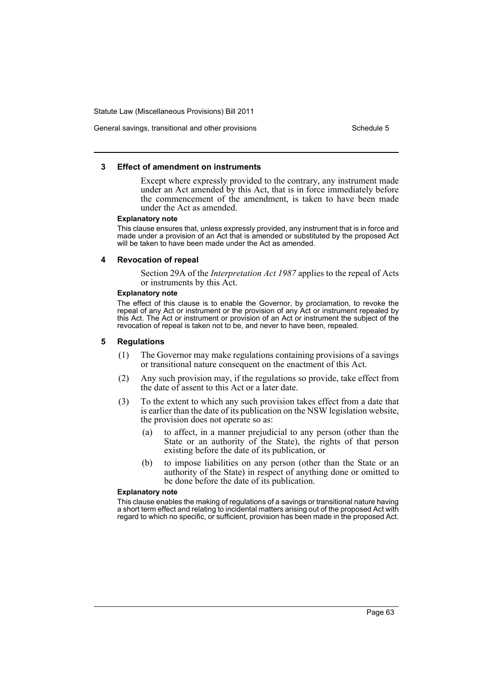#### General savings, transitional and other provisions Schedule 5

#### **3 Effect of amendment on instruments**

Except where expressly provided to the contrary, any instrument made under an Act amended by this Act, that is in force immediately before the commencement of the amendment, is taken to have been made under the Act as amended.

#### **Explanatory note**

This clause ensures that, unless expressly provided, any instrument that is in force and made under a provision of an Act that is amended or substituted by the proposed Act will be taken to have been made under the Act as amended.

#### **4 Revocation of repeal**

Section 29A of the *Interpretation Act 1987* applies to the repeal of Acts or instruments by this Act.

#### **Explanatory note**

The effect of this clause is to enable the Governor, by proclamation, to revoke the repeal of any Act or instrument or the provision of any Act or instrument repealed by this Act. The Act or instrument or provision of an Act or instrument the subject of the revocation of repeal is taken not to be, and never to have been, repealed.

#### **5 Regulations**

- (1) The Governor may make regulations containing provisions of a savings or transitional nature consequent on the enactment of this Act.
- (2) Any such provision may, if the regulations so provide, take effect from the date of assent to this Act or a later date.
- (3) To the extent to which any such provision takes effect from a date that is earlier than the date of its publication on the NSW legislation website, the provision does not operate so as:
	- (a) to affect, in a manner prejudicial to any person (other than the State or an authority of the State), the rights of that person existing before the date of its publication, or
	- (b) to impose liabilities on any person (other than the State or an authority of the State) in respect of anything done or omitted to be done before the date of its publication.

#### **Explanatory note**

This clause enables the making of regulations of a savings or transitional nature having a short term effect and relating to incidental matters arising out of the proposed Act with regard to which no specific, or sufficient, provision has been made in the proposed Act.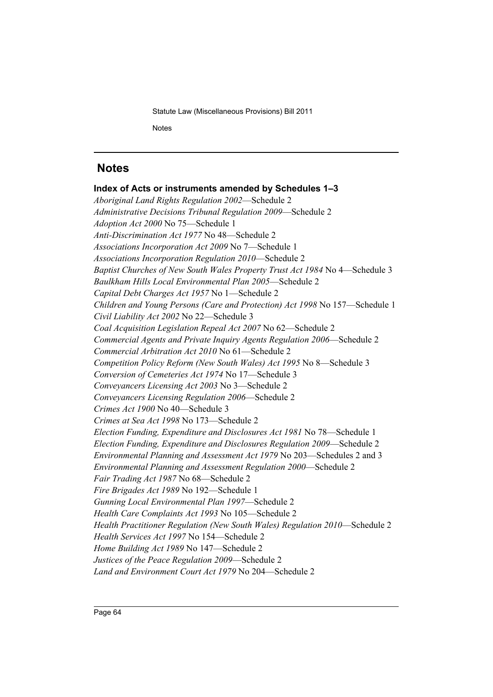Statute Law (Miscellaneous Provisions) Bill 2011 **Notes** 

# **Notes**

**Index of Acts or instruments amended by Schedules 1–3** *Aboriginal Land Rights Regulation 2002*—Schedule 2 *Administrative Decisions Tribunal Regulation 2009*—Schedule 2 *Adoption Act 2000* No 75—Schedule 1 *Anti-Discrimination Act 1977* No 48—Schedule 2 *Associations Incorporation Act 2009* No 7—Schedule 1 *Associations Incorporation Regulation 2010*—Schedule 2 *Baptist Churches of New South Wales Property Trust Act 1984* No 4—Schedule 3 *Baulkham Hills Local Environmental Plan 2005*—Schedule 2 *Capital Debt Charges Act 1957* No 1—Schedule 2 *Children and Young Persons (Care and Protection) Act 1998* No 157—Schedule 1 *Civil Liability Act 2002* No 22—Schedule 3 *Coal Acquisition Legislation Repeal Act 2007* No 62—Schedule 2 *Commercial Agents and Private Inquiry Agents Regulation 2006*—Schedule 2 *Commercial Arbitration Act 2010* No 61—Schedule 2 *Competition Policy Reform (New South Wales) Act 1995* No 8—Schedule 3 *Conversion of Cemeteries Act 1974* No 17—Schedule 3 *Conveyancers Licensing Act 2003* No 3—Schedule 2 *Conveyancers Licensing Regulation 2006*—Schedule 2 *Crimes Act 1900* No 40—Schedule 3 *Crimes at Sea Act 1998* No 173—Schedule 2 *Election Funding, Expenditure and Disclosures Act 1981* No 78—Schedule 1 *Election Funding, Expenditure and Disclosures Regulation 2009*—Schedule 2 *Environmental Planning and Assessment Act 1979* No 203—Schedules 2 and 3 *Environmental Planning and Assessment Regulation 2000*—Schedule 2 *Fair Trading Act 1987* No 68—Schedule 2 *Fire Brigades Act 1989* No 192—Schedule 1 *Gunning Local Environmental Plan 1997*—Schedule 2 *Health Care Complaints Act 1993* No 105—Schedule 2 *Health Practitioner Regulation (New South Wales) Regulation 2010*—Schedule 2 *Health Services Act 1997* No 154—Schedule 2 *Home Building Act 1989* No 147—Schedule 2 *Justices of the Peace Regulation 2009*—Schedule 2 *Land and Environment Court Act 1979* No 204—Schedule 2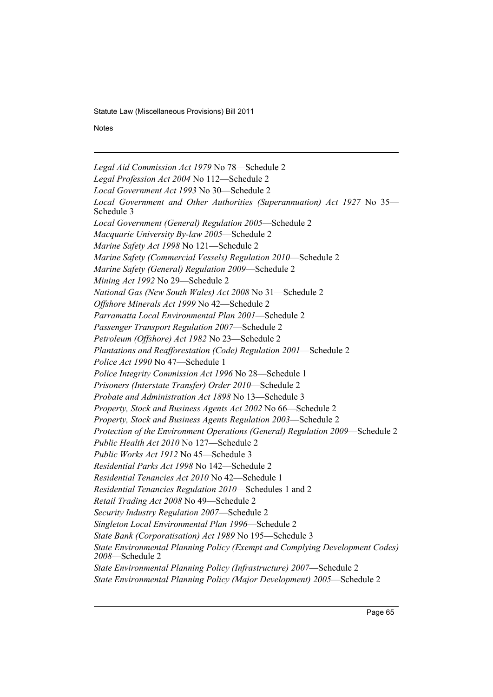**Notes** 

*Legal Aid Commission Act 1979* No 78—Schedule 2 *Legal Profession Act 2004* No 112—Schedule 2 *Local Government Act 1993* No 30—Schedule 2 *Local Government and Other Authorities (Superannuation) Act 1927* No 35— Schedule 3 *Local Government (General) Regulation 2005*—Schedule 2 *Macquarie University By-law 2005*—Schedule 2 *Marine Safety Act 1998* No 121—Schedule 2 *Marine Safety (Commercial Vessels) Regulation 2010*—Schedule 2 *Marine Safety (General) Regulation 2009*—Schedule 2 *Mining Act 1992* No 29—Schedule 2 *National Gas (New South Wales) Act 2008* No 31—Schedule 2 *Offshore Minerals Act 1999* No 42—Schedule 2 *Parramatta Local Environmental Plan 2001*—Schedule 2 *Passenger Transport Regulation 2007*—Schedule 2 *Petroleum (Offshore) Act 1982* No 23—Schedule 2 *Plantations and Reafforestation (Code) Regulation 2001*—Schedule 2 *Police Act 1990* No 47—Schedule 1 *Police Integrity Commission Act 1996* No 28—Schedule 1 *Prisoners (Interstate Transfer) Order 2010*—Schedule 2 *Probate and Administration Act 1898* No 13—Schedule 3 *Property, Stock and Business Agents Act 2002* No 66—Schedule 2 *Property, Stock and Business Agents Regulation 2003*—Schedule 2 *Protection of the Environment Operations (General) Regulation 2009*—Schedule 2 *Public Health Act 2010* No 127—Schedule 2 *Public Works Act 1912* No 45—Schedule 3 *Residential Parks Act 1998* No 142—Schedule 2 *Residential Tenancies Act 2010* No 42—Schedule 1 *Residential Tenancies Regulation 2010*—Schedules 1 and 2 *Retail Trading Act 2008* No 49—Schedule 2 *Security Industry Regulation 2007*—Schedule 2 *Singleton Local Environmental Plan 1996*—Schedule 2 *State Bank (Corporatisation) Act 1989* No 195—Schedule 3 *State Environmental Planning Policy (Exempt and Complying Development Codes) 2008*—Schedule 2 *State Environmental Planning Policy (Infrastructure) 2007*—Schedule 2 *State Environmental Planning Policy (Major Development) 2005*—Schedule 2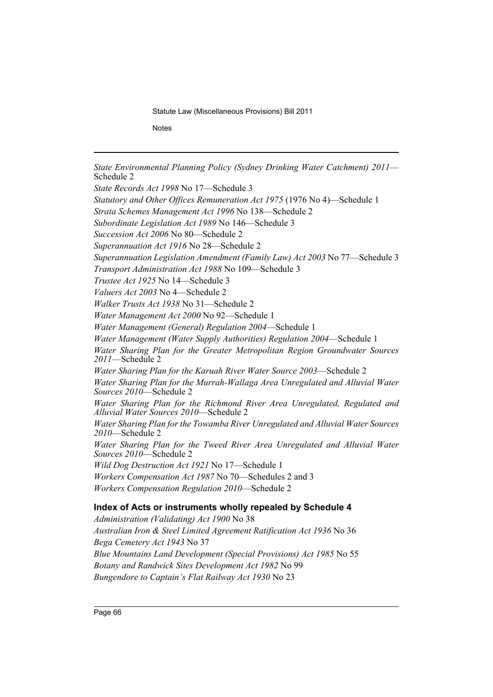**Notes** 

*State Environmental Planning Policy (Sydney Drinking Water Catchment) 2011*— Schedule 2 *State Records Act 1998* No 17—Schedule 3 *Statutory and Other Offices Remuneration Act 1975* (1976 No 4)—Schedule 1 *Strata Schemes Management Act 1996* No 138—Schedule 2 *Subordinate Legislation Act 1989* No 146—Schedule 3 *Succession Act 2006* No 80—Schedule 2 *Superannuation Act 1916* No 28—Schedule 2 *Superannuation Legislation Amendment (Family Law) Act 2003* No 77—Schedule 3 *Transport Administration Act 1988* No 109—Schedule 3 *Trustee Act 1925* No 14—Schedule 3 *Valuers Act 2003* No 4—Schedule 2 *Walker Trusts Act 1938* No 31—Schedule 2 *Water Management Act 2000* No 92—Schedule 1 *Water Management (General) Regulation 2004*—Schedule 1 *Water Management (Water Supply Authorities) Regulation 2004*—Schedule 1 *Water Sharing Plan for the Greater Metropolitan Region Groundwater Sources 2011*—Schedule 2 *Water Sharing Plan for the Karuah River Water Source 2003*—Schedule 2 *Water Sharing Plan for the Murrah-Wallaga Area Unregulated and Alluvial Water Sources 2010*—Schedule 2 *Water Sharing Plan for the Richmond River Area Unregulated, Regulated and Alluvial Water Sources 2010*—Schedule 2 *Water Sharing Plan for the Towamba River Unregulated and Alluvial Water Sources 2010*—Schedule 2 *Water Sharing Plan for the Tweed River Area Unregulated and Alluvial Water Sources 2010*—Schedule 2 *Wild Dog Destruction Act 1921* No 17—Schedule 1 *Workers Compensation Act 1987* No 70—Schedules 2 and 3 *Workers Compensation Regulation 2010*—Schedule 2 **Index of Acts or instruments wholly repealed by Schedule 4** *Administration (Validating) Act 1900* No 38 *Australian Iron & Steel Limited Agreement Ratification Act 1936* No 36 *Bega Cemetery Act 1943* No 37 *Blue Mountains Land Development (Special Provisions) Act 1985* No 55

*Botany and Randwick Sites Development Act 1982* No 99 *Bungendore to Captain's Flat Railway Act 1930* No 23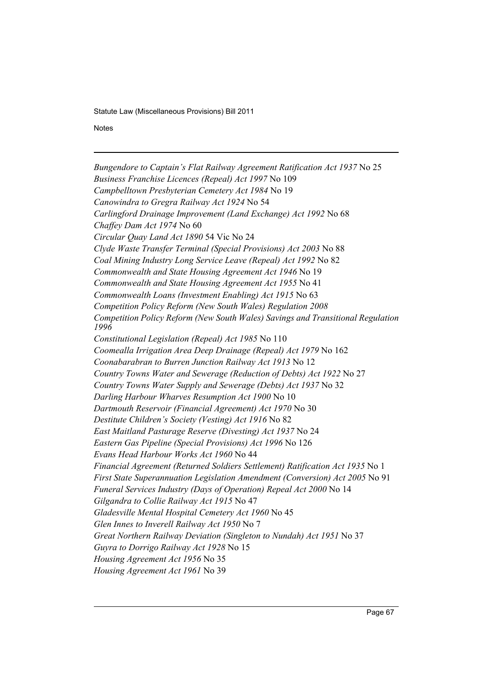**Notes** 

*Bungendore to Captain's Flat Railway Agreement Ratification Act 1937* No 25 *Business Franchise Licences (Repeal) Act 1997* No 109 *Campbelltown Presbyterian Cemetery Act 1984* No 19 *Canowindra to Gregra Railway Act 1924* No 54 *Carlingford Drainage Improvement (Land Exchange) Act 1992* No 68 *Chaffey Dam Act 1974* No 60 *Circular Quay Land Act 1890* 54 Vic No 24 *Clyde Waste Transfer Terminal (Special Provisions) Act 2003* No 88 *Coal Mining Industry Long Service Leave (Repeal) Act 1992* No 82 *Commonwealth and State Housing Agreement Act 1946* No 19 *Commonwealth and State Housing Agreement Act 1955* No 41 *Commonwealth Loans (Investment Enabling) Act 1915* No 63 *Competition Policy Reform (New South Wales) Regulation 2008 Competition Policy Reform (New South Wales) Savings and Transitional Regulation 1996 Constitutional Legislation (Repeal) Act 1985* No 110 *Coomealla Irrigation Area Deep Drainage (Repeal) Act 1979* No 162 *Coonabarabran to Burren Junction Railway Act 1913* No 12 *Country Towns Water and Sewerage (Reduction of Debts) Act 1922* No 27 *Country Towns Water Supply and Sewerage (Debts) Act 1937* No 32 *Darling Harbour Wharves Resumption Act 1900* No 10 *Dartmouth Reservoir (Financial Agreement) Act 1970* No 30 *Destitute Children's Society (Vesting) Act 1916* No 82 *East Maitland Pasturage Reserve (Divesting) Act 1937* No 24 *Eastern Gas Pipeline (Special Provisions) Act 1996* No 126 *Evans Head Harbour Works Act 1960* No 44 *Financial Agreement (Returned Soldiers Settlement) Ratification Act 1935* No 1 *First State Superannuation Legislation Amendment (Conversion) Act 2005* No 91 *Funeral Services Industry (Days of Operation) Repeal Act 2000* No 14 *Gilgandra to Collie Railway Act 1915* No 47 *Gladesville Mental Hospital Cemetery Act 1960* No 45 *Glen Innes to Inverell Railway Act 1950* No 7 *Great Northern Railway Deviation (Singleton to Nundah) Act 1951* No 37 *Guyra to Dorrigo Railway Act 1928* No 15 *Housing Agreement Act 1956* No 35 *Housing Agreement Act 1961* No 39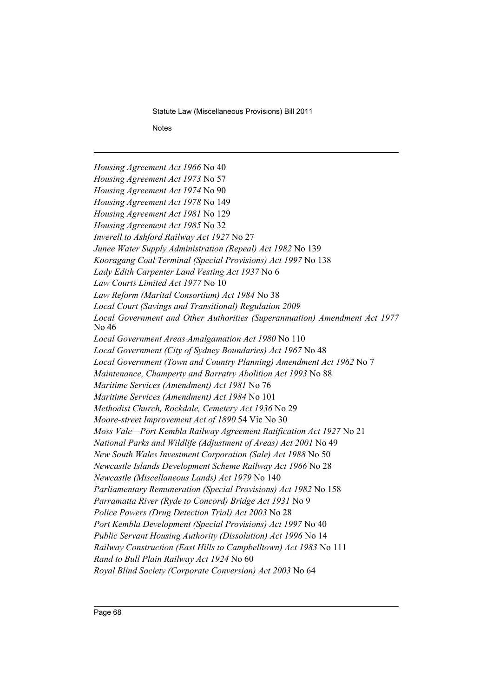**Notes** 

*Housing Agreement Act 1966* No 40 *Housing Agreement Act 1973* No 57 *Housing Agreement Act 1974* No 90 *Housing Agreement Act 1978* No 149 *Housing Agreement Act 1981* No 129 *Housing Agreement Act 1985* No 32 *Inverell to Ashford Railway Act 1927* No 27 *Junee Water Supply Administration (Repeal) Act 1982* No 139 *Kooragang Coal Terminal (Special Provisions) Act 1997* No 138 *Lady Edith Carpenter Land Vesting Act 1937* No 6 *Law Courts Limited Act 1977* No 10 *Law Reform (Marital Consortium) Act 1984* No 38 *Local Court (Savings and Transitional) Regulation 2009 Local Government and Other Authorities (Superannuation) Amendment Act 1977* No 46 *Local Government Areas Amalgamation Act 1980* No 110 *Local Government (City of Sydney Boundaries) Act 1967* No 48 *Local Government (Town and Country Planning) Amendment Act 1962* No 7 *Maintenance, Champerty and Barratry Abolition Act 1993* No 88 *Maritime Services (Amendment) Act 1981* No 76 *Maritime Services (Amendment) Act 1984* No 101 *Methodist Church, Rockdale, Cemetery Act 1936* No 29 *Moore-street Improvement Act of 1890* 54 Vic No 30 *Moss Vale—Port Kembla Railway Agreement Ratification Act 1927* No 21 *National Parks and Wildlife (Adjustment of Areas) Act 2001* No 49 *New South Wales Investment Corporation (Sale) Act 1988* No 50 *Newcastle Islands Development Scheme Railway Act 1966* No 28 *Newcastle (Miscellaneous Lands) Act 1979* No 140 *Parliamentary Remuneration (Special Provisions) Act 1982* No 158 *Parramatta River (Ryde to Concord) Bridge Act 1931* No 9 *Police Powers (Drug Detection Trial) Act 2003* No 28 *Port Kembla Development (Special Provisions) Act 1997* No 40 *Public Servant Housing Authority (Dissolution) Act 1996* No 14 *Railway Construction (East Hills to Campbelltown) Act 1983* No 111 *Rand to Bull Plain Railway Act 1924* No 60 *Royal Blind Society (Corporate Conversion) Act 2003* No 64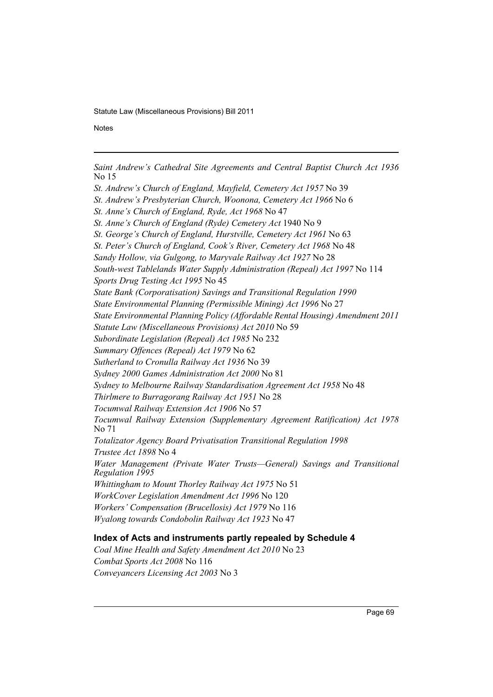**Notes** 

*Saint Andrew's Cathedral Site Agreements and Central Baptist Church Act 1936* No 15

*St. Andrew's Church of England, Mayfield, Cemetery Act 1957* No 39

*St. Andrew's Presbyterian Church, Woonona, Cemetery Act 1966* No 6

*St. Anne's Church of England, Ryde, Act 1968* No 47

*St. Anne's Church of England (Ryde) Cemetery Act* 1940 No 9

*St. George's Church of England, Hurstville, Cemetery Act 1961* No 63

*St. Peter's Church of England, Cook's River, Cemetery Act 1968* No 48

*Sandy Hollow, via Gulgong, to Maryvale Railway Act 1927* No 28

*South-west Tablelands Water Supply Administration (Repeal) Act 1997* No 114

*Sports Drug Testing Act 1995* No 45

*State Bank (Corporatisation) Savings and Transitional Regulation 1990*

*State Environmental Planning (Permissible Mining) Act 1996* No 27

*State Environmental Planning Policy (Affordable Rental Housing) Amendment 2011*

*Statute Law (Miscellaneous Provisions) Act 2010* No 59

*Subordinate Legislation (Repeal) Act 1985* No 232

*Summary Offences (Repeal) Act 1979* No 62

*Sutherland to Cronulla Railway Act 1936* No 39

*Sydney 2000 Games Administration Act 2000* No 81

*Sydney to Melbourne Railway Standardisation Agreement Act 1958* No 48

*Thirlmere to Burragorang Railway Act 1951* No 28

*Tocumwal Railway Extension Act 1906* No 57

*Tocumwal Railway Extension (Supplementary Agreement Ratification) Act 1978* No 71

*Totalizator Agency Board Privatisation Transitional Regulation 1998 Trustee Act 1898* No 4

*Water Management (Private Water Trusts—General) Savings and Transitional Regulation 1995*

*Whittingham to Mount Thorley Railway Act 1975* No 51

*WorkCover Legislation Amendment Act 1996* No 120

*Workers' Compensation (Brucellosis) Act 1979* No 116

*Wyalong towards Condobolin Railway Act 1923* No 47

# **Index of Acts and instruments partly repealed by Schedule 4**

*Coal Mine Health and Safety Amendment Act 2010* No 23 *Combat Sports Act 2008* No 116 *Conveyancers Licensing Act 2003* No 3